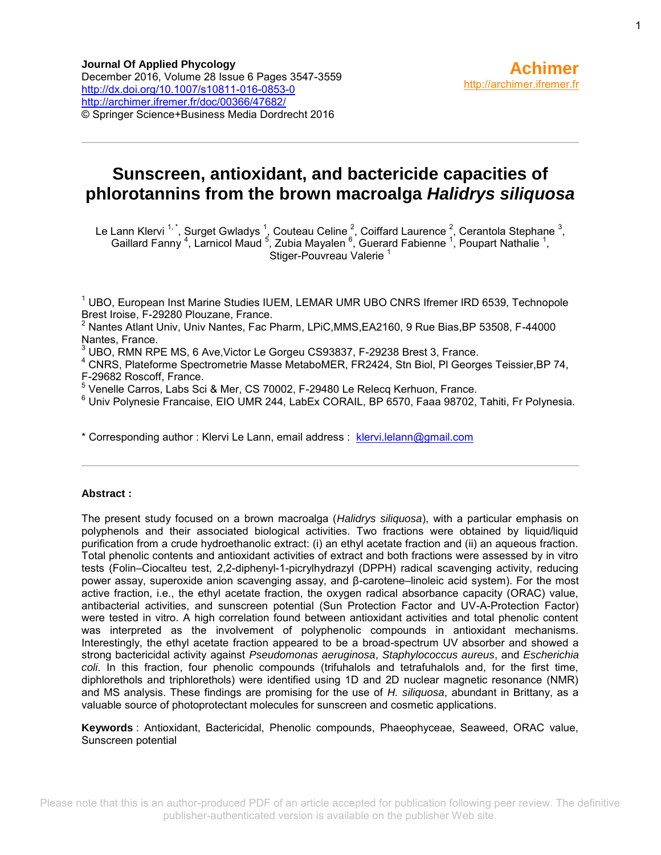# **Sunscreen, antioxidant, and bactericide capacities of phlorotannins from the brown macroalga** *Halidrys siliquosa*

Le Lann Klervi <sup>1, \*</sup>, Surget Gwladys  $\frac{1}{J}$  Couteau Celine  $\frac{2}{J}$ , Coiffard Laurence  $\frac{2}{J}$ , Cerantola Stephane  $\frac{3}{J}$ , Gaillard Fanny<sup>4</sup>, Larnicol Maud<sup>5</sup>, Zubia Mayalen<sup>6</sup>, Guerard Fabienne<sup>1</sup>, Poupart Nathalie<sup>1</sup>, Stiger-Pouvreau Valerie<sup>1</sup>

<sup>1</sup> UBO, European Inst Marine Studies IUEM, LEMAR UMR UBO CNRS Ifremer IRD 6539, Technopole Brest Iroise, F-29280 Plouzane, France.

<sup>2</sup> Nantes Atlant Univ, Univ Nantes, Fac Pharm, LPiC, MMS, EA2160, 9 Rue Bias, BP 53508, F-44000 Nantes, France.

<sup>3</sup> UBO, RMN RPE MS, 6 Ave, Victor Le Gorgeu CS93837, F-29238 Brest 3, France.

<sup>4</sup> CNRS. Plateforme Spectrometrie Masse MetaboMER, FR2424, Stn Biol, Pl Georges Teissier, BP 74, F-29682 Roscoff, France.

5 Venelle Carros, Labs Sci & Mer, CS 70002, F-29480 Le Relecq Kerhuon, France.

<sup>6</sup> Univ Polynesie Francaise, EIO UMR 244, LabEx CORAIL, BP 6570, Faaa 98702, Tahiti, Fr Polynesia.

\* Corresponding author : Klervi Le Lann, email address : [klervi.lelann@gmail.com](file:///C:/birt/First_Page_Generation/Exports/klervi.lelann@gmail.com)

#### **Abstract :**

The present study focused on a brown macroalga (*Halidrys siliquosa*), with a particular emphasis on polyphenols and their associated biological activities. Two fractions were obtained by liquid/liquid purification from a crude hydroethanolic extract: (i) an ethyl acetate fraction and (ii) an aqueous fraction. Total phenolic contents and antioxidant activities of extract and both fractions were assessed by in vitro tests (Folin–Ciocalteu test, 2,2-diphenyl-1-picrylhydrazyl (DPPH) radical scavenging activity, reducing power assay, superoxide anion scavenging assay, and β-carotene–linoleic acid system). For the most active fraction, i.e., the ethyl acetate fraction, the oxygen radical absorbance capacity (ORAC) value, antibacterial activities, and sunscreen potential (Sun Protection Factor and UV-A-Protection Factor) were tested in vitro. A high correlation found between antioxidant activities and total phenolic content was interpreted as the involvement of polyphenolic compounds in antioxidant mechanisms. Interestingly, the ethyl acetate fraction appeared to be a broad-spectrum UV absorber and showed a strong bactericidal activity against *Pseudomonas aeruginosa*, *Staphylococcus aureus*, and *Escherichia coli*. In this fraction, four phenolic compounds (trifuhalols and tetrafuhalols and, for the first time, diphlorethols and triphlorethols) were identified using 1D and 2D nuclear magnetic resonance (NMR) and MS analysis. These findings are promising for the use of *H. siliquosa*, abundant in Brittany, as a valuable source of photoprotectant molecules for sunscreen and cosmetic applications.

**Keywords** : Antioxidant, Bactericidal, Phenolic compounds, Phaeophyceae, Seaweed, ORAC value, Sunscreen potential

1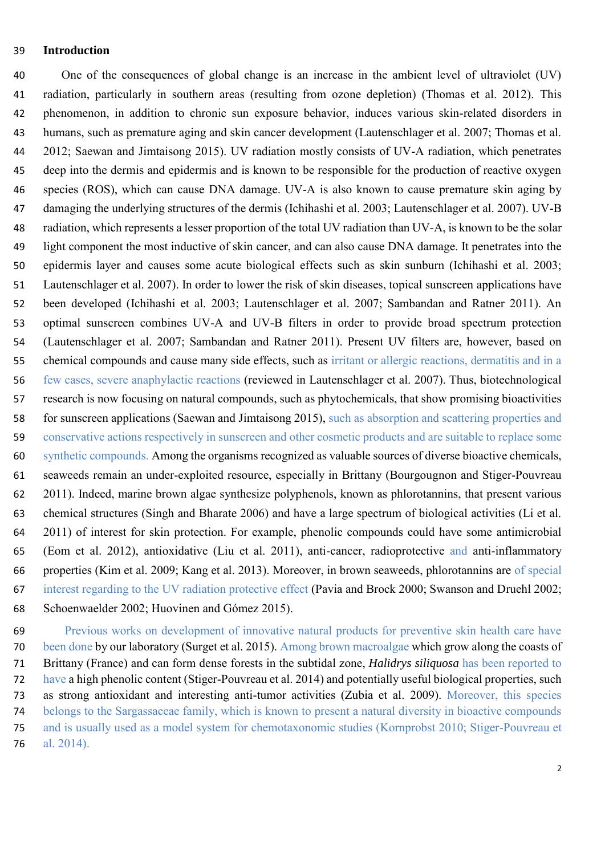#### **Introduction**

 One of the consequences of global change is an increase in the ambient level of ultraviolet (UV) radiation, particularly in southern areas (resulting from ozone depletion) (Thomas et al. 2012). This phenomenon, in addition to chronic sun exposure behavior, induces various skin-related disorders in humans, such as premature aging and skin cancer development (Lautenschlager et al. 2007; Thomas et al. 2012; Saewan and Jimtaisong 2015). UV radiation mostly consists of UV-A radiation, which penetrates deep into the dermis and epidermis and is known to be responsible for the production of reactive oxygen species (ROS), which can cause DNA damage. UV-A is also known to cause premature skin aging by damaging the underlying structures of the dermis (Ichihashi et al. 2003; Lautenschlager et al. 2007). UV-B radiation, which represents a lesser proportion of the total UV radiation than UV-A, is known to be the solar light component the most inductive of skin cancer, and can also cause DNA damage. It penetrates into the epidermis layer and causes some acute biological effects such as skin sunburn (Ichihashi et al. 2003; Lautenschlager et al. 2007). In order to lower the risk of skin diseases, topical sunscreen applications have been developed (Ichihashi et al. 2003; Lautenschlager et al. 2007; Sambandan and Ratner 2011). An optimal sunscreen combines UV-A and UV-B filters in order to provide broad spectrum protection (Lautenschlager et al. 2007; Sambandan and Ratner 2011). Present UV filters are, however, based on chemical compounds and cause many side effects, such as irritant or allergic reactions, dermatitis and in a few cases, severe anaphylactic reactions (reviewed in Lautenschlager et al. 2007). Thus, biotechnological research is now focusing on natural compounds, such as phytochemicals, that show promising bioactivities for sunscreen applications (Saewan and Jimtaisong 2015), such as absorption and scattering properties and conservative actions respectively in sunscreen and other cosmetic products and are suitable to replace some synthetic compounds. Among the organisms recognized as valuable sources of diverse bioactive chemicals, seaweeds remain an under-exploited resource, especially in Brittany (Bourgougnon and Stiger-Pouvreau 2011). Indeed, marine brown algae synthesize polyphenols, known as phlorotannins, that present various chemical structures (Singh and Bharate 2006) and have a large spectrum of biological activities (Li et al. 2011) of interest for skin protection. For example, phenolic compounds could have some antimicrobial (Eom et al. 2012), antioxidative (Liu et al. 2011), anti-cancer, radioprotective and anti-inflammatory properties (Kim et al. 2009; Kang et al. 2013). Moreover, in brown seaweeds, phlorotannins are of special interest regarding to the UV radiation protective effect (Pavia and Brock 2000; Swanson and Druehl 2002; Schoenwaelder 2002; Huovinen and Gómez 2015).

 Previous works on development of innovative natural products for preventive skin health care have been done by our laboratory (Surget et al. 2015). Among brown macroalgae which grow along the coasts of Brittany (France) and can form dense forests in the subtidal zone, *Halidrys siliquosa* has been reported to have a high phenolic content (Stiger-Pouvreau et al. 2014) and potentially useful biological properties, such as strong antioxidant and interesting anti-tumor activities (Zubia et al. 2009). Moreover, this species belongs to the Sargassaceae family, which is known to present a natural diversity in bioactive compounds and is usually used as a model system for chemotaxonomic studies (Kornprobst 2010; Stiger-Pouvreau et al. 2014).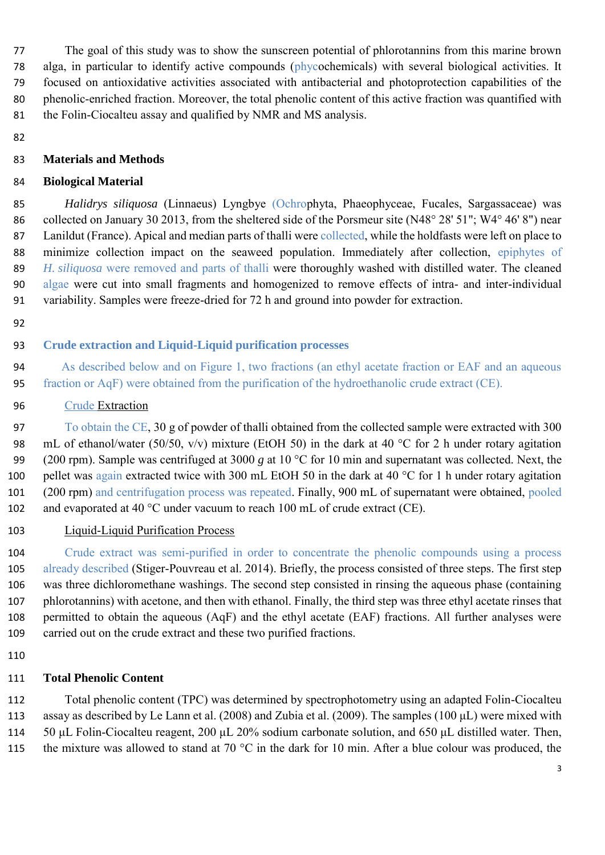The goal of this study was to show the sunscreen potential of phlorotannins from this marine brown alga, in particular to identify active compounds (phycochemicals) with several biological activities. It focused on antioxidative activities associated with antibacterial and photoprotection capabilities of the phenolic-enriched fraction. Moreover, the total phenolic content of this active fraction was quantified with the Folin-Ciocalteu assay and qualified by NMR and MS analysis.

## **Materials and Methods**

### **Biological Material**

 *Halidrys siliquosa* (Linnaeus) Lyngbye (Ochrophyta, Phaeophyceae, Fucales, Sargassaceae) was 86 collected on January 30 2013, from the sheltered side of the Porsmeur site (N48° 28' 51"; W4° 46' 8") near 87 Lanildut (France). Apical and median parts of thalli were collected, while the holdfasts were left on place to minimize collection impact on the seaweed population. Immediately after collection, epiphytes of *H. siliquosa* were removed and parts of thalli were thoroughly washed with distilled water. The cleaned algae were cut into small fragments and homogenized to remove effects of intra- and inter-individual variability. Samples were freeze-dried for 72 h and ground into powder for extraction.

### **Crude extraction and Liquid-Liquid purification processes**

 As described below and on Figure 1, two fractions (an ethyl acetate fraction or EAF and an aqueous fraction or AqF) were obtained from the purification of the hydroethanolic crude extract (CE).

### Crude Extraction

 To obtain the CE, 30 g of powder of thalli obtained from the collected sample were extracted with 300 98 mL of ethanol/water (50/50, v/v) mixture (EtOH 50) in the dark at 40 °C for 2 h under rotary agitation (200 rpm). Sample was centrifuged at 3000 *g* at 10 °C for 10 min and supernatant was collected. Next, the 100 pellet was again extracted twice with 300 mL EtOH 50 in the dark at 40 °C for 1 h under rotary agitation (200 rpm) and centrifugation process was repeated. Finally, 900 mL of supernatant were obtained, pooled 102 and evaporated at 40 °C under vacuum to reach 100 mL of crude extract (CE).

### Liquid-Liquid Purification Process

 Crude extract was semi-purified in order to concentrate the phenolic compounds using a process already described (Stiger-Pouvreau et al. 2014). Briefly, the process consisted of three steps. The first step was three dichloromethane washings. The second step consisted in rinsing the aqueous phase (containing phlorotannins) with acetone, and then with ethanol. Finally, the third step was three ethyl acetate rinses that permitted to obtain the aqueous (AqF) and the ethyl acetate (EAF) fractions. All further analyses were carried out on the crude extract and these two purified fractions.

### **Total Phenolic Content**

 Total phenolic content (TPC) was determined by spectrophotometry using an adapted Folin-Ciocalteu assay as described by Le Lann et al. (2008) and Zubia et al. (2009). The samples (100 μL) were mixed with 50 μL Folin-Ciocalteu reagent, 200 μL 20% sodium carbonate solution, and 650 μL distilled water. Then, 115 the mixture was allowed to stand at 70  $\degree$ C in the dark for 10 min. After a blue colour was produced, the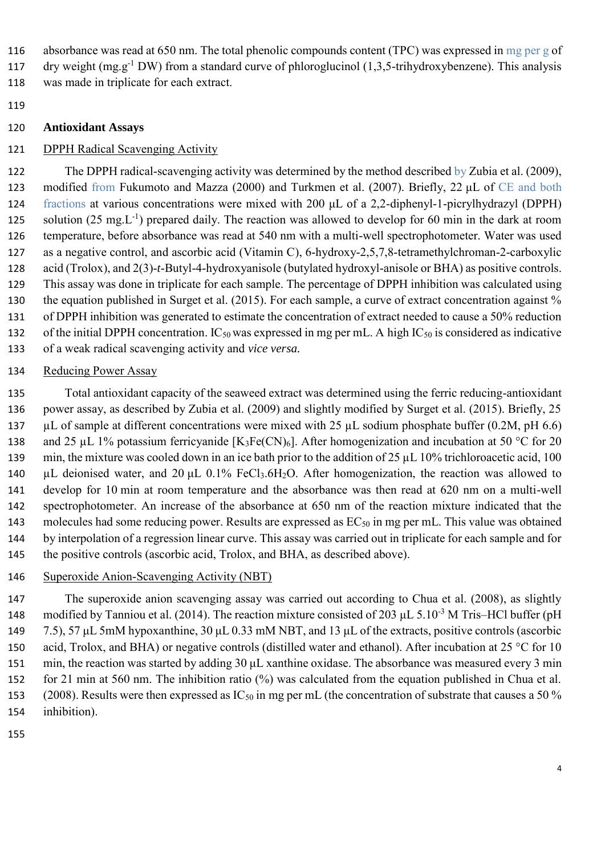absorbance was read at 650 nm. The total phenolic compounds content (TPC) was expressed in mg per g of 117 dry weight (mg.g<sup>-1</sup> DW) from a standard curve of phloroglucinol (1,3,5-trihydroxybenzene). This analysis

was made in triplicate for each extract.

## **Antioxidant Assays**

### 121 DPPH Radical Scavenging Activity

122 The DPPH radical-scavenging activity was determined by the method described by Zubia et al. (2009), modified from Fukumoto and Mazza (2000) and Turkmen et al. (2007). Briefly, 22 μL of CE and both fractions at various concentrations were mixed with 200 μL of a 2,2-diphenyl-1-picrylhydrazyl (DPPH) solution (25 mg.  $L^{-1}$ ) prepared daily. The reaction was allowed to develop for 60 min in the dark at room temperature, before absorbance was read at 540 nm with a multi-well spectrophotometer. Water was used as a negative control, and ascorbic acid (Vitamin C), 6-hydroxy-2,5,7,8-tetramethylchroman-2-carboxylic acid (Trolox), and 2(3)-*t*-Butyl-4-hydroxyanisole (butylated hydroxyl-anisole or BHA) as positive controls. This assay was done in triplicate for each sample. The percentage of DPPH inhibition was calculated using 130 the equation published in Surget et al. (2015). For each sample, a curve of extract concentration against % of DPPH inhibition was generated to estimate the concentration of extract needed to cause a 50% reduction 132 of the initial DPPH concentration. IC<sub>50</sub> was expressed in mg per mL. A high IC<sub>50</sub> is considered as indicative of a weak radical scavenging activity and *vice versa.*

### Reducing Power Assay

 Total antioxidant capacity of the seaweed extract was determined using the ferric reducing-antioxidant power assay, as described by Zubia et al. (2009) and slightly modified by Surget et al. (2015). Briefly, 25 137 µL of sample at different concentrations were mixed with 25 µL sodium phosphate buffer (0.2M, pH 6.6) 138 and 25 uL 1% potassium ferricyanide  $[K_3Fe(CN)_6]$ . After homogenization and incubation at 50 °C for 20 139 min, the mixture was cooled down in an ice bath prior to the addition of 25 µL 10% trichloroacetic acid, 100  $\mu$ L deionised water, and 20  $\mu$ L 0.1% FeCl<sub>3</sub>.6H<sub>2</sub>O. After homogenization, the reaction was allowed to develop for 10 min at room temperature and the absorbance was then read at 620 nm on a multi-well spectrophotometer. An increase of the absorbance at 650 nm of the reaction mixture indicated that the 143 molecules had some reducing power. Results are expressed as  $EC_{50}$  in mg per mL. This value was obtained by interpolation of a regression linear curve. This assay was carried out in triplicate for each sample and for the positive controls (ascorbic acid, Trolox, and BHA, as described above).

### Superoxide Anion-Scavenging Activity (NBT)

 The superoxide anion scavenging assay was carried out according to Chua et al. (2008), as slightly 148 modified by Tanniou et al. (2014). The reaction mixture consisted of 203 μL 5.10<sup>-3</sup> M Tris–HCl buffer (pH 7.5), 57 μL 5mM hypoxanthine, 30 μL 0.33 mM NBT, and 13 μL of the extracts, positive controls (ascorbic 150 acid, Trolox, and BHA) or negative controls (distilled water and ethanol). After incubation at 25 °C for 10 min, the reaction was started by adding 30 μL xanthine oxidase. The absorbance was measured every 3 min for 21 min at 560 nm. The inhibition ratio (%) was calculated from the equation published in Chua et al. 153 (2008). Results were then expressed as  $IC_{50}$  in mg per mL (the concentration of substrate that causes a 50 %) inhibition).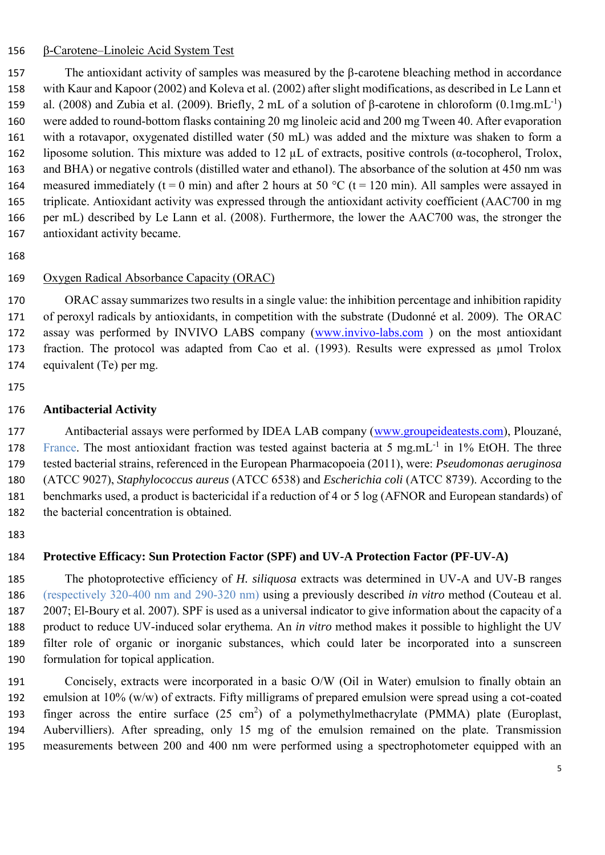### β*-*Carotene–Linoleic Acid System Test

 The antioxidant activity of samples was measured by the β-carotene bleaching method in accordance with Kaur and Kapoor (2002) and Koleva et al. (2002) after slight modifications, as described in Le Lann et al. (2008) and Zubia et al. (2009). Briefly, 2 mL of a solution of β-carotene in chloroform (0.1mg.mL<sup>-1</sup>) were added to round-bottom flasks containing 20 mg linoleic acid and 200 mg Tween 40. After evaporation with a rotavapor, oxygenated distilled water (50 mL) was added and the mixture was shaken to form a liposome solution. This mixture was added to 12 µL of extracts, positive controls (α-tocopherol, Trolox, and BHA) or negative controls (distilled water and ethanol). The absorbance of the solution at 450 nm was 164 measured immediately (t = 0 min) and after 2 hours at 50  $^{\circ}$ C (t = 120 min). All samples were assayed in triplicate. Antioxidant activity was expressed through the antioxidant activity coefficient (AAC700 in mg per mL) described by Le Lann et al. (2008). Furthermore, the lower the AAC700 was, the stronger the antioxidant activity became.

### Oxygen Radical Absorbance Capacity (ORAC)

 ORAC assay summarizes two results in a single value: the inhibition percentage and inhibition rapidity of peroxyl radicals by antioxidants, in competition with the substrate (Dudonné et al. 2009). The ORAC assay was performed by INVIVO LABS company [\(www.invivo-labs.com](https://www.invivo-labs.com/) ) on the most antioxidant fraction. The protocol was adapted from Cao et al. (1993). Results were expressed as µmol Trolox equivalent (Te) per mg.

#### **Antibacterial Activity**

 Antibacterial assays were performed by IDEA LAB company [\(www.groupeideatests.com\)](http://www.groupeideatests.com/), Plouzané, 178 France. The most antioxidant fraction was tested against bacteria at 5 mg.mL<sup>-1</sup> in 1% EtOH. The three tested bacterial strains, referenced in the European Pharmacopoeia (2011), were: *Pseudomonas aeruginosa*  (ATCC 9027), *Staphylococcus aureus* (ATCC 6538) and *Escherichia coli* (ATCC 8739). According to the benchmarks used, a product is bactericidal if a reduction of 4 or 5 log (AFNOR and European standards) of the bacterial concentration is obtained.

### **Protective Efficacy: Sun Protection Factor (SPF) and UV-A Protection Factor (PF-UV-A)**

 The photoprotective efficiency of *H. siliquosa* extracts was determined in UV-A and UV-B ranges (respectively 320-400 nm and 290-320 nm) using a previously described *in vitro* method (Couteau et al. 2007; El-Boury et al. 2007). SPF is used as a universal indicator to give information about the capacity of a product to reduce UV-induced solar erythema. An *in vitro* method makes it possible to highlight the UV filter role of organic or inorganic substances, which could later be incorporated into a sunscreen formulation for topical application.

 Concisely, extracts were incorporated in a basic O/W (Oil in Water) emulsion to finally obtain an emulsion at 10% (w/w) of extracts. Fifty milligrams of prepared emulsion were spread using a cot-coated 193 finger across the entire surface  $(25 \text{ cm}^2)$  of a polymethylmethacrylate (PMMA) plate (Europlast, Aubervilliers). After spreading, only 15 mg of the emulsion remained on the plate. Transmission measurements between 200 and 400 nm were performed using a spectrophotometer equipped with an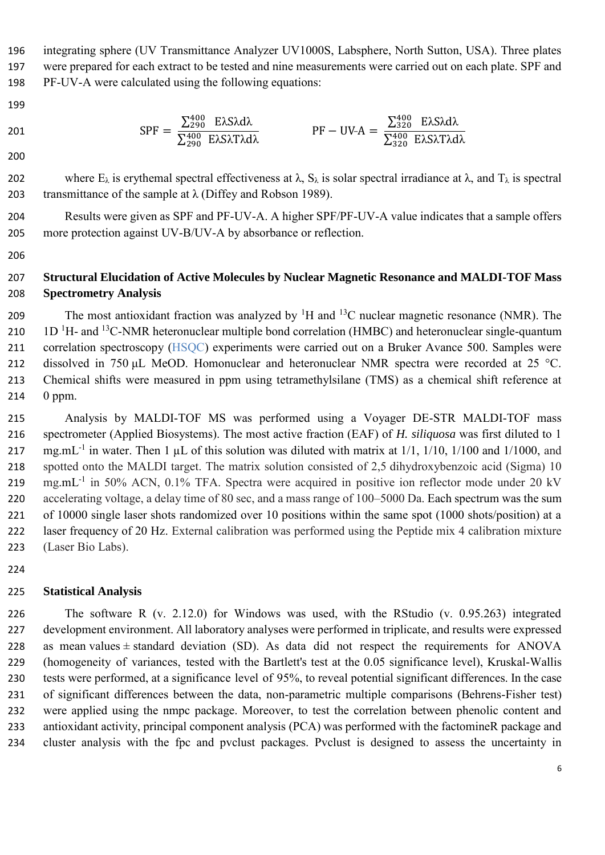integrating sphere (UV Transmittance Analyzer UV1000S, Labsphere, North Sutton, USA). Three plates were prepared for each extract to be tested and nine measurements were carried out on each plate. SPF and PF-UV-A were calculated using the following equations:

$$
SPF = \frac{\sum_{290}^{400} \text{ E}\lambda \text{S}\lambda d\lambda}{\sum_{290}^{400} \text{ E}\lambda \text{S}\lambda T\lambda d\lambda} \qquad PF - UV - A = \frac{\sum_{320}^{400} \text{ E}\lambda \text{S}\lambda d\lambda}{\sum_{320}^{400} \text{ E}\lambda \text{S}\lambda T\lambda d\lambda}
$$

202 where  $E_{\lambda}$  is erythemal spectral effectiveness at  $\lambda$ ,  $S_{\lambda}$  is solar spectral irradiance at  $\lambda$ , and  $T_{\lambda}$  is spectral 203 transmittance of the sample at  $\lambda$  (Diffey and Robson 1989).

 Results were given as SPF and PF-UV-A. A higher SPF/PF-UV-A value indicates that a sample offers more protection against UV-B/UV-A by absorbance or reflection.

### **Structural Elucidation of Active Molecules by Nuclear Magnetic Resonance and MALDI-TOF Mass Spectrometry Analysis**

209 The most antioxidant fraction was analyzed by  ${}^{1}H$  and  ${}^{13}C$  nuclear magnetic resonance (NMR). The 210  $1D$  <sup>1</sup>H- and <sup>13</sup>C-NMR heteronuclear multiple bond correlation (HMBC) and heteronuclear single-quantum 211 correlation spectroscopy (HSQC) experiments were carried out on a Bruker Avance 500. Samples were 212 dissolved in 750 μL MeOD. Homonuclear and heteronuclear NMR spectra were recorded at 25 °C. Chemical shifts were measured in ppm using tetramethylsilane (TMS) as a chemical shift reference at 0 ppm.

 Analysis by MALDI-TOF MS was performed using a Voyager DE-STR MALDI-TOF mass spectrometer (Applied Biosystems). The most active fraction (EAF) of *H. siliquosa* was first diluted to 1  $mg.mL^{-1}$  in water. Then 1 µL of this solution was diluted with matrix at  $1/1$ ,  $1/10$ ,  $1/100$  and  $1/1000$ , and spotted onto the MALDI target. The matrix solution consisted of 2,5 dihydroxybenzoic acid (Sigma) 10 219 mg.mL<sup>-1</sup> in 50% ACN, 0.1% TFA. Spectra were acquired in positive ion reflector mode under 20 kV accelerating voltage, a delay time of 80 sec, and a mass range of 100–5000 Da. Each spectrum was the sum of 10000 single laser shots randomized over 10 positions within the same spot (1000 shots/position) at a laser frequency of 20 Hz. External calibration was performed using the Peptide mix 4 calibration mixture (Laser Bio Labs).

### **Statistical Analysis**

 The software R (v. 2.12.0) for Windows was used, with the RStudio (v. 0.95.263) integrated development environment. All laboratory analyses were performed in triplicate, and results were expressed 228 as mean values  $\pm$  standard deviation (SD). As data did not respect the requirements for ANOVA (homogeneity of variances, tested with the Bartlett's test at the 0.05 significance level), Kruskal-Wallis tests were performed, at a significance level of 95%, to reveal potential significant differences. In the case of significant differences between the data, non-parametric multiple comparisons (Behrens-Fisher test) were applied using the nmpc package. Moreover, to test the correlation between phenolic content and antioxidant activity, principal component analysis (PCA) was performed with the factomineR package and cluster analysis with the fpc and pvclust packages. Pvclust is designed to assess the uncertainty in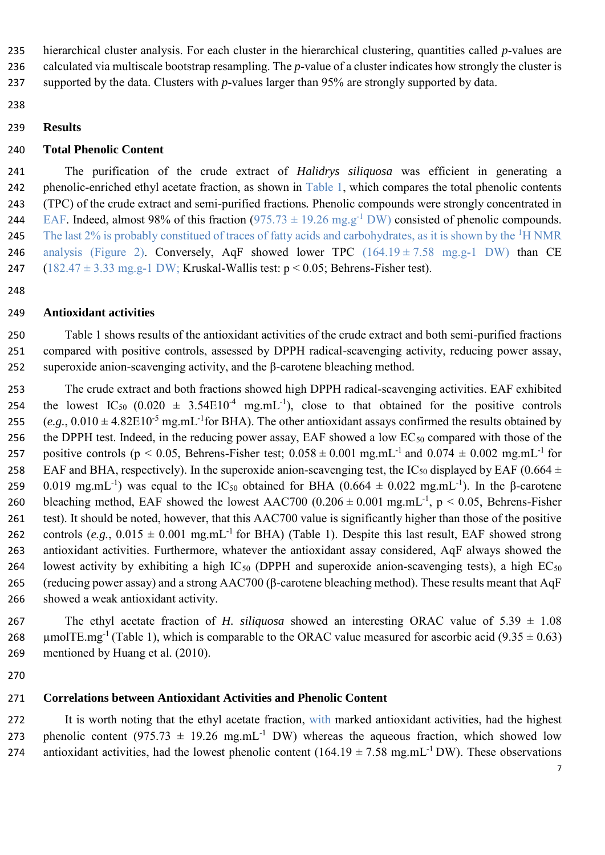235 hierarchical cluster analysis. For each cluster in the hierarchical clustering, quantities called *p*-values are 236 calculated via multiscale bootstrap resampling. The *p*-value of a cluster indicates how strongly the cluster is 237 supported by the data. Clusters with *p*-values larger than 95% are strongly supported by data.

238

## 239 **Results**

### 240 **Total Phenolic Content**

241 The purification of the crude extract of *Halidrys siliquosa* was efficient in generating a 242 phenolic-enriched ethyl acetate fraction, as shown in Table 1, which compares the total phenolic contents 243 (TPC) of the crude extract and semi-purified fractions*.* Phenolic compounds were strongly concentrated in 244 EAF. Indeed, almost 98% of this fraction  $(975.73 \pm 19.26 \text{ mg} \cdot \text{g}^{-1} \text{ DW})$  consisted of phenolic compounds. 245 The last  $2\%$  is probably constitued of traces of fatty acids and carbohydrates, as it is shown by the  ${}^{1}$ H NMR 246 analysis (Figure 2). Conversely, AqF showed lower TPC  $(164.19 \pm 7.58 \text{ mg} \cdot \text{g} \cdot \text{1} \text{ DW})$  than CE 247  $(182.47 \pm 3.33 \text{ mg} \cdot \text{g} - 1 \text{ DW};$  Kruskal-Wallis test:  $p < 0.05$ ; Behrens-Fisher test).

248

### 249 **Antioxidant activities**

250 Table 1 shows results of the antioxidant activities of the crude extract and both semi-purified fractions 251 compared with positive controls, assessed by DPPH radical-scavenging activity, reducing power assay, 252 superoxide anion-scavenging activity, and the β-carotene bleaching method.

253 The crude extract and both fractions showed high DPPH radical-scavenging activities. EAF exhibited 254 the lowest IC<sub>50</sub> (0.020  $\pm$  3.54E10<sup>-4</sup> mg.mL<sup>-1</sup>), close to that obtained for the positive controls 255  $(e.g., 0.010 \pm 4.82E10^{-5} \text{ mg.mL}^{-1}$  for BHA). The other antioxidant assays confirmed the results obtained by 256 the DPPH test. Indeed, in the reducing power assay, EAF showed a low  $EC_{50}$  compared with those of the 257 positive controls ( $p < 0.05$ , Behrens-Fisher test;  $0.058 \pm 0.001$  mg.mL<sup>-1</sup> and  $0.074 \pm 0.002$  mg.mL<sup>-1</sup> for 258 EAF and BHA, respectively). In the superoxide anion-scavenging test, the IC<sub>50</sub> displayed by EAF (0.664  $\pm$ 259 0.019 mg.mL<sup>-1</sup>) was equal to the IC<sub>50</sub> obtained for BHA (0.664  $\pm$  0.022 mg.mL<sup>-1</sup>). In the β-carotene 260 bleaching method, EAF showed the lowest AAC700 (0.206  $\pm$  0.001 mg.mL<sup>-1</sup>, p < 0.05, Behrens-Fisher 261 test). It should be noted, however, that this AAC700 value is significantly higher than those of the positive 262 controls (*e.g.*,  $0.015 \pm 0.001$  mg.mL<sup>-1</sup> for BHA) (Table 1). Despite this last result, EAF showed strong 263 antioxidant activities. Furthermore, whatever the antioxidant assay considered, AqF always showed the 264 lowest activity by exhibiting a high  $IC_{50}$  (DPPH and superoxide anion-scavenging tests), a high  $EC_{50}$ 265 (reducing power assay) and a strong AAC700 (β-carotene bleaching method). These results meant that AqF 266 showed a weak antioxidant activity.

267 The ethyl acetate fraction of *H. siliquosa* showed an interesting ORAC value of  $5.39 \pm 1.08$ 268 umolTE.mg<sup>-1</sup> (Table 1), which is comparable to the ORAC value measured for ascorbic acid (9.35  $\pm$  0.63) 269 mentioned by Huang et al. (2010).

270

## 271 **Correlations between Antioxidant Activities and Phenolic Content**

272 It is worth noting that the ethyl acetate fraction, with marked antioxidant activities, had the highest 273 phenolic content (975.73  $\pm$  19.26 mg.mL<sup>-1</sup> DW) whereas the aqueous fraction, which showed low 274 antioxidant activities, had the lowest phenolic content  $(164.19 \pm 7.58 \text{ mg.mL}^{-1} \text{DW})$ . These observations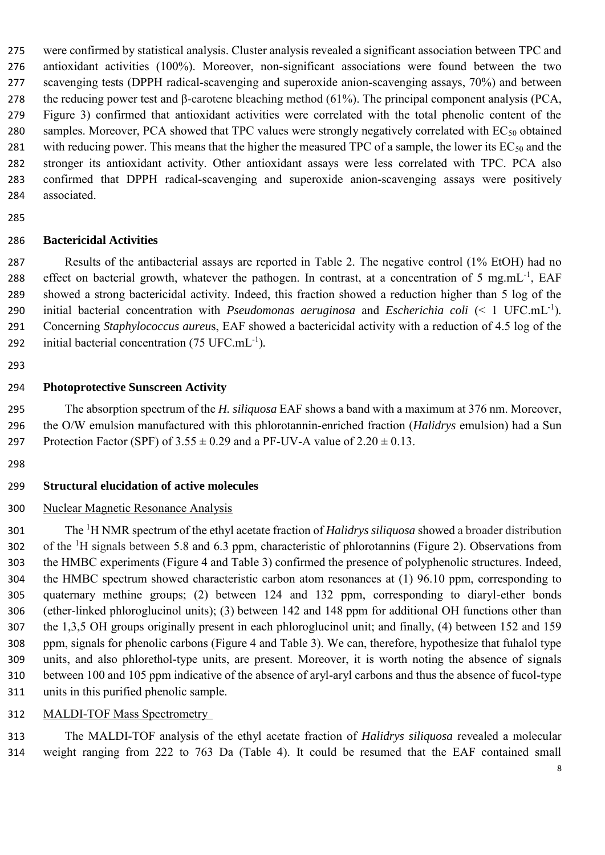were confirmed by statistical analysis. Cluster analysis revealed a significant association between TPC and antioxidant activities (100%). Moreover, non-significant associations were found between the two scavenging tests (DPPH radical-scavenging and superoxide anion-scavenging assays, 70%) and between the reducing power test and β-carotene bleaching method (61%). The principal component analysis (PCA, Figure 3) confirmed that antioxidant activities were correlated with the total phenolic content of the 280 samples. Moreover, PCA showed that TPC values were strongly negatively correlated with  $EC_{50}$  obtained 281 with reducing power. This means that the higher the measured TPC of a sample, the lower its EC<sub>50</sub> and the stronger its antioxidant activity. Other antioxidant assays were less correlated with TPC. PCA also confirmed that DPPH radical-scavenging and superoxide anion-scavenging assays were positively associated.

#### **Bactericidal Activities**

 Results of the antibacterial assays are reported in Table 2. The negative control (1% EtOH) had no 288 effect on bacterial growth, whatever the pathogen. In contrast, at a concentration of 5 mg.mL $^{-1}$ , EAF showed a strong bactericidal activity. Indeed, this fraction showed a reduction higher than 5 log of the 290 initial bacterial concentration with *Pseudomonas aeruginosa* and *Escherichia coli* (< 1 UFC.mL<sup>-1</sup>). Concerning *Staphylococcus aureu*s, EAF showed a bactericidal activity with a reduction of 4.5 log of the 292 initial bacterial concentration  $(75 \text{ UFC.mL}^{-1})$ *.* 

#### **Photoprotective Sunscreen Activity**

 The absorption spectrum of the *H. siliquosa* EAF shows a band with a maximum at 376 nm. Moreover, the O/W emulsion manufactured with this phlorotannin-enriched fraction (*Halidrys* emulsion) had a Sun 297 Protection Factor (SPF) of  $3.55 \pm 0.29$  and a PF-UV-A value of  $2.20 \pm 0.13$ .

#### **Structural elucidation of active molecules**

#### Nuclear Magnetic Resonance Analysis

301 The <sup>1</sup>H NMR spectrum of the ethyl acetate fraction of *Halidrys siliquosa* showed a broader distribution 302 of the  ${}^{1}H$  signals between 5.8 and 6.3 ppm, characteristic of phlorotannins (Figure 2). Observations from the HMBC experiments (Figure 4 and Table 3) confirmed the presence of polyphenolic structures. Indeed, the HMBC spectrum showed characteristic carbon atom resonances at (1) 96.10 ppm, corresponding to quaternary methine groups; (2) between 124 and 132 ppm, corresponding to diaryl-ether bonds (ether-linked phloroglucinol units); (3) between 142 and 148 ppm for additional OH functions other than the 1,3,5 OH groups originally present in each phloroglucinol unit; and finally, (4) between 152 and 159 ppm, signals for phenolic carbons (Figure 4 and Table 3). We can, therefore, hypothesize that fuhalol type units, and also phlorethol-type units, are present. Moreover, it is worth noting the absence of signals between 100 and 105 ppm indicative of the absence of aryl-aryl carbons and thus the absence of fucol-type units in this purified phenolic sample.

#### MALDI-TOF Mass Spectrometry

 The MALDI-TOF analysis of the ethyl acetate fraction of *Halidrys siliquosa* revealed a molecular weight ranging from 222 to 763 Da (Table 4). It could be resumed that the EAF contained small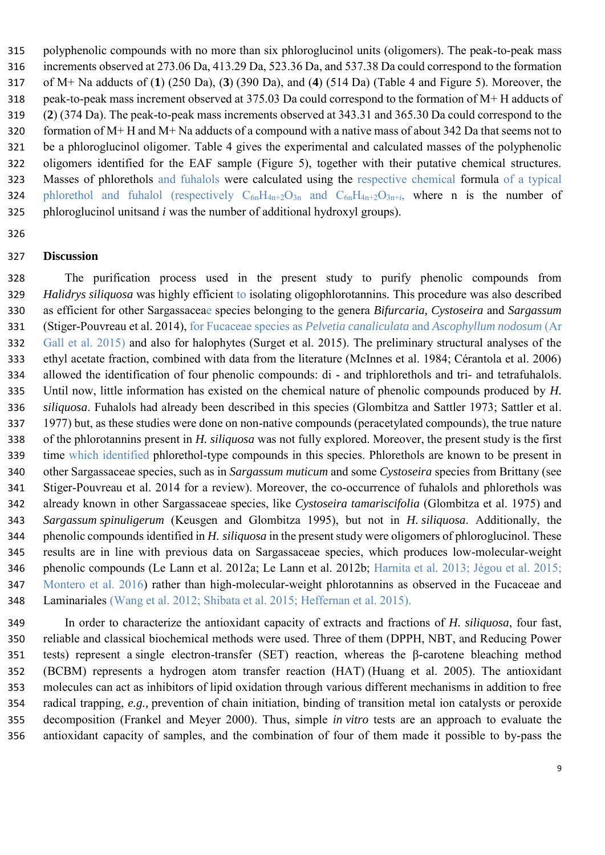polyphenolic compounds with no more than six phloroglucinol units (oligomers). The peak-to-peak mass increments observed at 273.06 Da, 413.29 Da, 523.36 Da, and 537.38 Da could correspond to the formation of M+ Na adducts of (**1**) (250 Da), (**3**) (390 Da), and (**4**) (514 Da) (Table 4 and Figure 5). Moreover, the peak-to-peak mass increment observed at 375.03 Da could correspond to the formation of M+ H adducts of (**2**) (374 Da). The peak-to-peak mass increments observed at 343.31 and 365.30 Da could correspond to the formation of M+ H and M+ Na adducts of a compound with a native mass of about 342 Da that seems not to be a phloroglucinol oligomer. Table 4 gives the experimental and calculated masses of the polyphenolic oligomers identified for the EAF sample (Figure 5), together with their putative chemical structures. Masses of phlorethols and fuhalols were calculated using the respective chemical formula of a typical 324 phlorethol and fuhalol (respectively  $C_{6n}H_{4n+2}O_{3n}$  and  $C_{6n}H_{4n+2}O_{3n+i}$ , where n is the number of phloroglucinol unitsand *i* was the number of additional hydroxyl groups).

#### **Discussion**

 The purification process used in the present study to purify phenolic compounds from *Halidrys siliquosa* was highly efficient to isolating oligophlorotannins*.* This procedure was also described as efficient for other Sargassaceae species belonging to the genera *Bifurcaria, Cystoseira* and *Sargassum*  (Stiger-Pouvreau et al. 2014), for Fucaceae species as *Pelvetia canaliculata* and *Ascophyllum nodosum* (Ar Gall et al. 2015) and also for halophytes (Surget et al. 2015). The preliminary structural analyses of the ethyl acetate fraction, combined with data from the literature (McInnes et al. 1984; Cérantola et al. 2006) allowed the identification of four phenolic compounds: di - and triphlorethols and tri- and tetrafuhalols. Until now, little information has existed on the chemical nature of phenolic compounds produced by *H. siliquosa*. Fuhalols had already been described in this species (Glombitza and Sattler 1973; Sattler et al. 1977) but, as these studies were done on non-native compounds (peracetylated compounds), the true nature of the phlorotannins present in *H. siliquosa* was not fully explored. Moreover, the present study is the first time which identified phlorethol-type compounds in this species. Phlorethols are known to be present in other Sargassaceae species, such as in *Sargassum muticum* and some *Cystoseira* species from Brittany (see Stiger-Pouvreau et al. 2014 for a review). Moreover, the co-occurrence of fuhalols and phlorethols was already known in other Sargassaceae species, like *Cystoseira tamariscifolia* (Glombitza et al. 1975) and *Sargassum spinuligerum* (Keusgen and Glombitza 1995), but not in *H. siliquosa*. Additionally, the phenolic compounds identified in *H. siliquosa* in the present study were oligomers of phloroglucinol. These results are in line with previous data on Sargassaceae species, which produces low-molecular-weight phenolic compounds (Le Lann et al. 2012a; Le Lann et al. 2012b; Harnita et al. 2013; Jégou et al. 2015; Montero et al. 2016) rather than high-molecular-weight phlorotannins as observed in the Fucaceae and Laminariales (Wang et al. 2012; Shibata et al. 2015; Heffernan et al. 2015).

 In order to characterize the antioxidant capacity of extracts and fractions of *H. siliquosa*, four fast, reliable and classical biochemical methods were used. Three of them (DPPH, NBT, and Reducing Power tests) represent a single electron-transfer (SET) reaction, whereas the β-carotene bleaching method (BCBM) represents a hydrogen atom transfer reaction (HAT) (Huang et al. 2005). The antioxidant molecules can act as inhibitors of lipid oxidation through various different mechanisms in addition to free radical trapping, *e.g.,* prevention of chain initiation, binding of transition metal ion catalysts or peroxide decomposition (Frankel and Meyer 2000). Thus, simple *in vitro* tests are an approach to evaluate the antioxidant capacity of samples, and the combination of four of them made it possible to by-pass the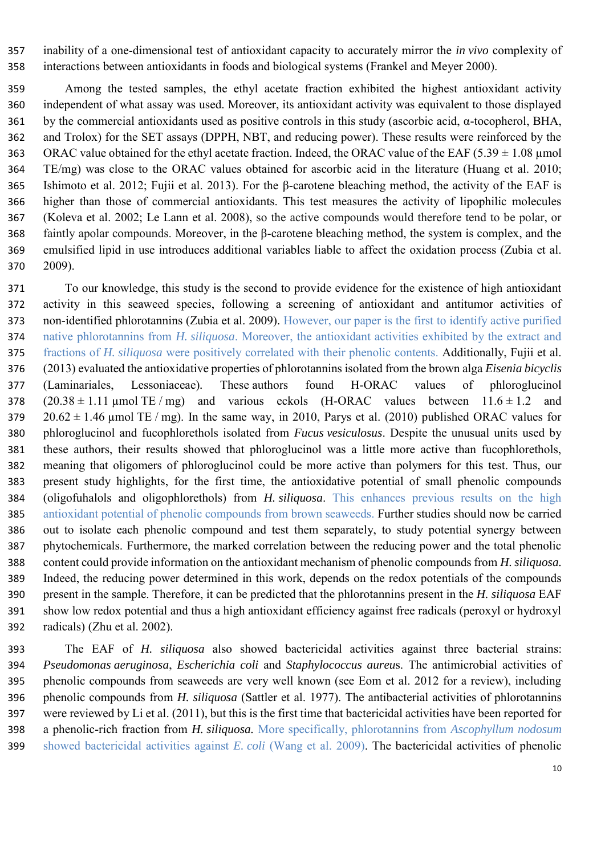inability of a one-dimensional test of antioxidant capacity to accurately mirror the *in vivo* complexity of interactions between antioxidants in foods and biological systems (Frankel and Meyer 2000).

 Among the tested samples, the ethyl acetate fraction exhibited the highest antioxidant activity independent of what assay was used. Moreover, its antioxidant activity was equivalent to those displayed by the commercial antioxidants used as positive controls in this study (ascorbic acid, α-tocopherol, BHA, and Trolox) for the SET assays (DPPH, NBT, and reducing power). These results were reinforced by the 363 ORAC value obtained for the ethyl acetate fraction. Indeed, the ORAC value of the EAF (5.39  $\pm$  1.08 µmol TE/mg) was close to the ORAC values obtained for ascorbic acid in the literature (Huang et al. 2010; Ishimoto et al. 2012; Fujii et al. 2013). For the β-carotene bleaching method, the activity of the EAF is higher than those of commercial antioxidants. This test measures the activity of lipophilic molecules (Koleva et al. 2002; Le Lann et al. 2008), so the active compounds would therefore tend to be polar, or faintly apolar compounds. Moreover, in the β-carotene bleaching method, the system is complex, and the emulsified lipid in use introduces additional variables liable to affect the oxidation process (Zubia et al. 2009).

 To our knowledge, this study is the second to provide evidence for the existence of high antioxidant activity in this seaweed species, following a screening of antioxidant and antitumor activities of non-identified phlorotannins (Zubia et al. 2009). However, our paper is the first to identify active purified native phlorotannins from *H. siliquosa*. Moreover, the antioxidant activities exhibited by the extract and fractions of *H. siliquosa* were positively correlated with their phenolic contents. Additionally, Fujii et al. (2013) evaluated the antioxidative properties of phlorotannins isolated from the brown alga *Eisenia bicyclis*  (Laminariales, Lessoniaceae)*.* These authors found H-ORAC values of phloroglucinol  $(20.38 \pm 1.11 \text{ µmol TE/mg})$  and various eckols (H-ORAC values between  $11.6 \pm 1.2$  and 379 20.62  $\pm$  1.46 µmol TE / mg). In the same way, in 2010, Parys et al. (2010) published ORAC values for phloroglucinol and fucophlorethols isolated from *Fucus vesiculosus*. Despite the unusual units used by these authors, their results showed that phloroglucinol was a little more active than fucophlorethols, meaning that oligomers of phloroglucinol could be more active than polymers for this test. Thus, our present study highlights, for the first time, the antioxidative potential of small phenolic compounds (oligofuhalols and oligophlorethols) from *H. siliquosa*. This enhances previous results on the high antioxidant potential of phenolic compounds from brown seaweeds. Further studies should now be carried out to isolate each phenolic compound and test them separately, to study potential synergy between phytochemicals. Furthermore, the marked correlation between the reducing power and the total phenolic content could provide information on the antioxidant mechanism of phenolic compounds from *H. siliquosa.* Indeed, the reducing power determined in this work, depends on the redox potentials of the compounds present in the sample. Therefore, it can be predicted that the phlorotannins present in the *H. siliquosa* EAF show low redox potential and thus a high antioxidant efficiency against free radicals (peroxyl or hydroxyl radicals) (Zhu et al. 2002).

 The EAF of *H. siliquosa* also showed bactericidal activities against three bacterial strains: *Pseudomonas aeruginosa*, *Escherichia coli* and *Staphylococcus aureu*s. The antimicrobial activities of phenolic compounds from seaweeds are very well known (see Eom et al. 2012 for a review), including phenolic compounds from *H. siliquosa* (Sattler et al. 1977). The antibacterial activities of phlorotannins were reviewed by Li et al. (2011), but this is the first time that bactericidal activities have been reported for a phenolic-rich fraction from *H. siliquosa.* More specifically, phlorotannins from *Ascophyllum nodosum*  showed bactericidal activities against *E. coli* (Wang et al. 2009). The bactericidal activities of phenolic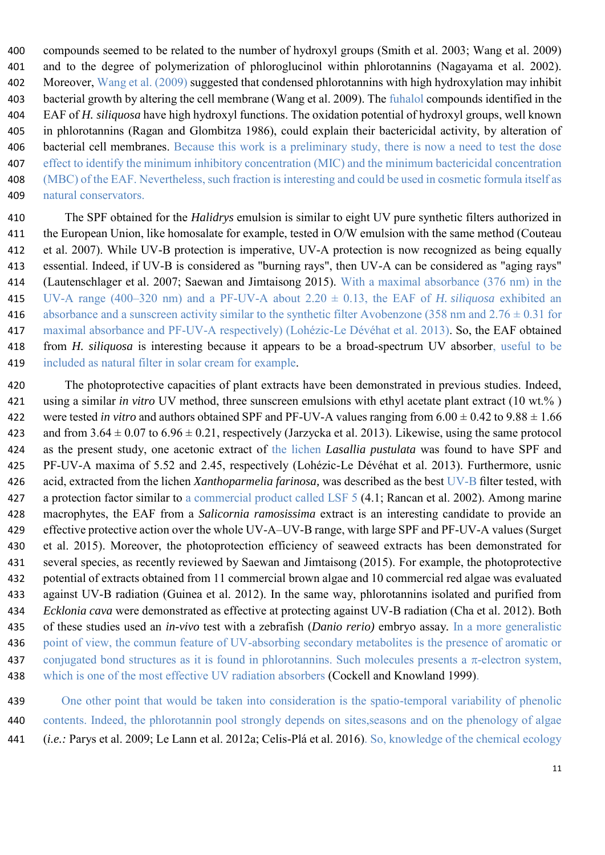compounds seemed to be related to the number of hydroxyl groups (Smith et al. 2003; Wang et al. 2009) and to the degree of polymerization of phloroglucinol within phlorotannins (Nagayama et al. 2002). Moreover, Wang et al. (2009) suggested that condensed phlorotannins with high hydroxylation may inhibit bacterial growth by altering the cell membrane (Wang et al. 2009). The fuhalol compounds identified in the EAF of *H. siliquosa* have high hydroxyl functions. The oxidation potential of hydroxyl groups, well known in phlorotannins (Ragan and Glombitza 1986), could explain their bactericidal activity, by alteration of bacterial cell membranes. Because this work is a preliminary study, there is now a need to test the dose effect to identify the minimum inhibitory concentration (MIC) and the minimum bactericidal concentration (MBC) of the EAF. Nevertheless, such fraction is interesting and could be used in cosmetic formula itself as natural conservators.

 The SPF obtained for the *Halidrys* emulsion is similar to eight UV pure synthetic filters authorized in 411 the European Union, like homosalate for example, tested in O/W emulsion with the same method (Couteau et al. 2007). While UV-B protection is imperative, UV-A protection is now recognized as being equally essential. Indeed, if UV-B is considered as "burning rays", then UV-A can be considered as "aging rays" (Lautenschlager et al. 2007; Saewan and Jimtaisong 2015). With a maximal absorbance (376 nm) in the 415 UV-A range (400–320 nm) and a PF-UV-A about  $2.20 \pm 0.13$ , the EAF of *H. siliquosa* exhibited an 416 absorbance and a sunscreen activity similar to the synthetic filter Avobenzone (358 nm and  $2.76 \pm 0.31$  for maximal absorbance and PF-UV-A respectively) (Lohézic-Le Dévéhat et al. 2013). So, the EAF obtained from *H. siliquosa* is interesting because it appears to be a broad-spectrum UV absorber, useful to be included as natural filter in solar cream for example.

 The photoprotective capacities of plant extracts have been demonstrated in previous studies. Indeed, using a similar *in vitro* UV method, three sunscreen emulsions with ethyl acetate plant extract (10 wt.% ) 422 were tested *in vitro* and authors obtained SPF and PF-UV-A values ranging from  $6.00 \pm 0.42$  to  $9.88 \pm 1.66$ 423 and from  $3.64 \pm 0.07$  to  $6.96 \pm 0.21$ , respectively (Jarzycka et al. 2013). Likewise, using the same protocol as the present study, one acetonic extract of the lichen *Lasallia pustulata* was found to have SPF and PF-UV-A maxima of 5.52 and 2.45, respectively (Lohézic-Le Dévéhat et al. 2013). Furthermore, usnic acid, extracted from the lichen *Xanthoparmelia farinosa,* was described as the best UV-B filter tested, with 427 a protection factor similar to a commercial product called LSF 5 (4.1; Rancan et al. 2002). Among marine macrophytes, the EAF from a *Salicornia ramosissima* extract is an interesting candidate to provide an effective protective action over the whole UV-A–UV-B range, with large SPF and PF-UV-A values (Surget et al. 2015). Moreover, the photoprotection efficiency of seaweed extracts has been demonstrated for several species, as recently reviewed by Saewan and Jimtaisong (2015). For example, the photoprotective potential of extracts obtained from 11 commercial brown algae and 10 commercial red algae was evaluated against UV-B radiation (Guinea et al. 2012). In the same way, phlorotannins isolated and purified from *Ecklonia cava* were demonstrated as effective at protecting against UV-B radiation (Cha et al. 2012). Both of these studies used an *in-vivo* test with a zebrafish (*Danio rerio)* embryo assay*.* In a more generalistic point of view, the commun feature of UV-absorbing secondary metabolites is the presence of aromatic or 437 conjugated bond structures as it is found in phlorotannins. Such molecules presents a  $\pi$ -electron system, which is one of the most effective UV radiation absorbers (Cockell and Knowland 1999).

 One other point that would be taken into consideration is the spatio-temporal variability of phenolic contents. Indeed, the phlorotannin pool strongly depends on sites,seasons and on the phenology of algae (*i.e.:* Parys et al. 2009; Le Lann et al. 2012a; Celis-Plá et al. 2016). So, knowledge of the chemical ecology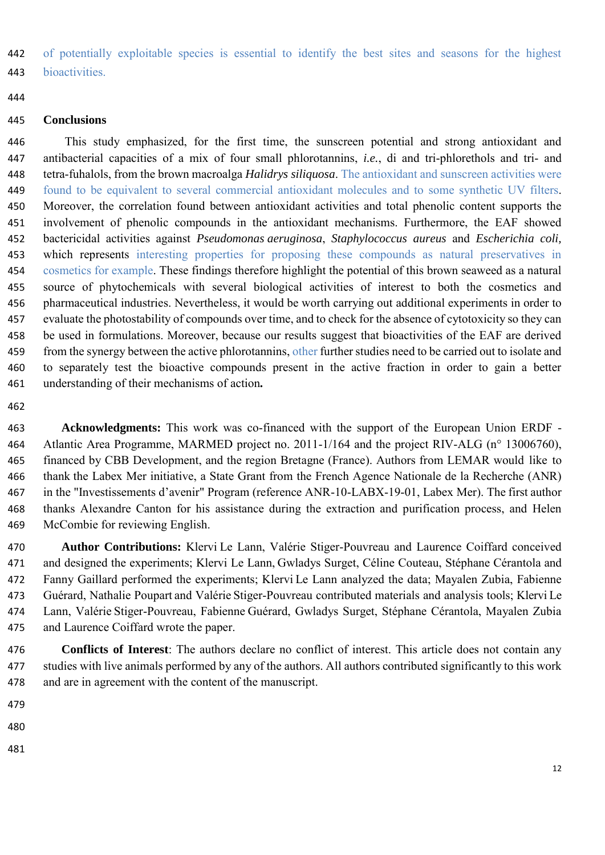of potentially exploitable species is essential to identify the best sites and seasons for the highest bioactivities.

#### **Conclusions**

 This study emphasized, for the first time, the sunscreen potential and strong antioxidant and antibacterial capacities of a mix of four small phlorotannins, *i.e.*, di and tri-phlorethols and tri- and tetra-fuhalols, from the brown macroalga *Halidrys siliquosa*. The antioxidant and sunscreen activities were found to be equivalent to several commercial antioxidant molecules and to some synthetic UV filters. Moreover, the correlation found between antioxidant activities and total phenolic content supports the involvement of phenolic compounds in the antioxidant mechanisms. Furthermore, the EAF showed bactericidal activities against *Pseudomonas aeruginosa*, *Staphylococcus aureus* and *Escherichia coli,* which represents interesting properties for proposing these compounds as natural preservatives in 454 cosmetics for example. These findings therefore highlight the potential of this brown seaweed as a natural source of phytochemicals with several biological activities of interest to both the cosmetics and pharmaceutical industries. Nevertheless, it would be worth carrying out additional experiments in order to evaluate the photostability of compounds over time, and to check for the absence of cytotoxicity so they can be used in formulations. Moreover, because our results suggest that bioactivities of the EAF are derived 459 from the synergy between the active phlorotannins, other further studies need to be carried out to isolate and to separately test the bioactive compounds present in the active fraction in order to gain a better understanding of their mechanisms of action*.*

 **Acknowledgments:** This work was co-financed with the support of the European Union ERDF - Atlantic Area Programme, MARMED project no. 2011-1/164 and the project RIV-ALG (n° 13006760), financed by CBB Development, and the region Bretagne (France). Authors from LEMAR would like to thank the Labex Mer initiative, a State Grant from the French Agence Nationale de la Recherche (ANR) in the "Investissements d'avenir" Program (reference ANR-10-LABX-19-01, Labex Mer). The first author thanks Alexandre Canton for his assistance during the extraction and purification process, and Helen McCombie for reviewing English.

 **Author Contributions:** Klervi Le Lann, Valérie Stiger-Pouvreau and Laurence Coiffard conceived and designed the experiments; Klervi Le Lann, Gwladys Surget, Céline Couteau, Stéphane Cérantola and Fanny Gaillard performed the experiments; Klervi Le Lann analyzed the data; Mayalen Zubia, Fabienne Guérard, Nathalie Poupart and Valérie Stiger-Pouvreau contributed materials and analysis tools; Klervi Le Lann, Valérie Stiger-Pouvreau, Fabienne Guérard, Gwladys Surget, Stéphane Cérantola, Mayalen Zubia and Laurence Coiffard wrote the paper.

 **Conflicts of Interest**: The authors declare no conflict of interest. This article does not contain any studies with live animals performed by any of the authors. All authors contributed significantly to this work and are in agreement with the content of the manuscript.

- 
- 
-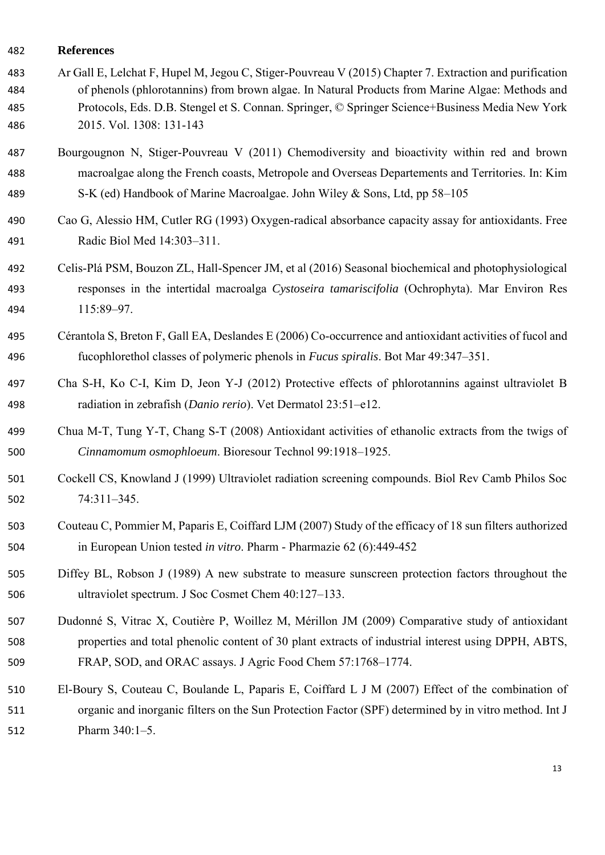| 482 | <b>References</b>                                                                                        |
|-----|----------------------------------------------------------------------------------------------------------|
| 483 | Ar Gall E, Lelchat F, Hupel M, Jegou C, Stiger-Pouvreau V (2015) Chapter 7. Extraction and purification  |
| 484 | of phenols (phlorotannins) from brown algae. In Natural Products from Marine Algae: Methods and          |
| 485 | Protocols, Eds. D.B. Stengel et S. Connan. Springer, © Springer Science+Business Media New York          |
| 486 | 2015. Vol. 1308: 131-143                                                                                 |
| 487 | Bourgougnon N, Stiger-Pouvreau V (2011) Chemodiversity and bioactivity within red and brown              |
| 488 | macroalgae along the French coasts, Metropole and Overseas Departements and Territories. In: Kim         |
| 489 | S-K (ed) Handbook of Marine Macroalgae. John Wiley & Sons, Ltd, pp 58–105                                |
| 490 | Cao G, Alessio HM, Cutler RG (1993) Oxygen-radical absorbance capacity assay for antioxidants. Free      |
| 491 | Radic Biol Med 14:303-311.                                                                               |
| 492 | Celis-Plá PSM, Bouzon ZL, Hall-Spencer JM, et al (2016) Seasonal biochemical and photophysiological      |
| 493 | responses in the intertidal macroalga Cystoseira tamariscifolia (Ochrophyta). Mar Environ Res            |
| 494 | 115:89-97.                                                                                               |
| 495 | Cérantola S, Breton F, Gall EA, Deslandes E (2006) Co-occurrence and antioxidant activities of fucol and |
| 496 | fucophlorethol classes of polymeric phenols in <i>Fucus spiralis</i> . Bot Mar 49:347–351.               |
| 497 | Cha S-H, Ko C-I, Kim D, Jeon Y-J (2012) Protective effects of phlorotannins against ultraviolet B        |
| 498 | radiation in zebrafish (Danio rerio). Vet Dermatol 23:51-e12.                                            |
| 499 | Chua M-T, Tung Y-T, Chang S-T (2008) Antioxidant activities of ethanolic extracts from the twigs of      |
| 500 | Cinnamomum osmophloeum. Bioresour Technol 99:1918-1925.                                                  |
| 501 | Cockell CS, Knowland J (1999) Ultraviolet radiation screening compounds. Biol Rev Camb Philos Soc        |
| 502 | 74:311-345.                                                                                              |
| 503 | Couteau C, Pommier M, Paparis E, Coiffard LJM (2007) Study of the efficacy of 18 sun filters authorized  |
| 504 | in European Union tested in vitro. Pharm - Pharmazie 62 (6):449-452                                      |
| 505 | Diffey BL, Robson J (1989) A new substrate to measure sunscreen protection factors throughout the        |
| 506 | ultraviolet spectrum. J Soc Cosmet Chem 40:127-133.                                                      |
| 507 | Dudonné S, Vitrac X, Coutière P, Woillez M, Mérillon JM (2009) Comparative study of antioxidant          |
| 508 | properties and total phenolic content of 30 plant extracts of industrial interest using DPPH, ABTS,      |
| 509 | FRAP, SOD, and ORAC assays. J Agric Food Chem 57:1768-1774.                                              |

 El-Boury S, Couteau C, Boulande L, Paparis E, Coiffard L J M (2007) Effect of the combination of organic and inorganic filters on the Sun Protection Factor (SPF) determined by in vitro method. Int J Pharm 340:1–5.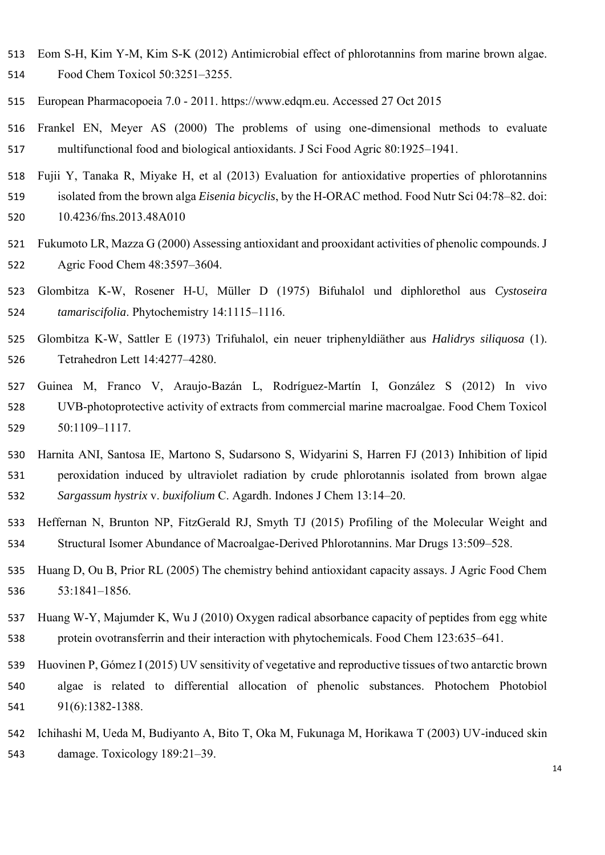- Eom S-H, Kim Y-M, Kim S-K (2012) Antimicrobial effect of phlorotannins from marine brown algae. Food Chem Toxicol 50:3251–3255.
- European Pharmacopoeia 7.0 2011. https://www.edqm.eu. Accessed 27 Oct 2015
- Frankel EN, Meyer AS (2000) The problems of using one-dimensional methods to evaluate multifunctional food and biological antioxidants. J Sci Food Agric 80:1925–1941.
- Fujii Y, Tanaka R, Miyake H, et al (2013) Evaluation for antioxidative properties of phlorotannins
- isolated from the brown alga *Eisenia bicyclis*, by the H-ORAC method. Food Nutr Sci 04:78–82. doi: 10.4236/fns.2013.48A010
- Fukumoto LR, Mazza G (2000) Assessing antioxidant and prooxidant activities of phenolic compounds. J Agric Food Chem 48:3597–3604.
- Glombitza K-W, Rosener H-U, Müller D (1975) Bifuhalol und diphlorethol aus *Cystoseira tamariscifolia*. Phytochemistry 14:1115–1116.
- Glombitza K-W, Sattler E (1973) Trifuhalol, ein neuer triphenyldiäther aus *Halidrys siliquosa* (1). Tetrahedron Lett 14:4277–4280.
- Guinea M, Franco V, Araujo-Bazán L, Rodríguez-Martín I, González S (2012) In vivo UVB-photoprotective activity of extracts from commercial marine macroalgae. Food Chem Toxicol 50:1109–1117.
- Harnita ANI, Santosa IE, Martono S, Sudarsono S, Widyarini S, Harren FJ (2013) Inhibition of lipid peroxidation induced by ultraviolet radiation by crude phlorotannis isolated from brown algae *Sargassum hystrix* v. *buxifolium* C. Agardh. Indones J Chem 13:14–20.
- Heffernan N, Brunton NP, FitzGerald RJ, Smyth TJ (2015) Profiling of the Molecular Weight and Structural Isomer Abundance of Macroalgae-Derived Phlorotannins. Mar Drugs 13:509–528.
- Huang D, Ou B, Prior RL (2005) The chemistry behind antioxidant capacity assays. J Agric Food Chem 53:1841–1856.
- Huang W-Y, Majumder K, Wu J (2010) Oxygen radical absorbance capacity of peptides from egg white protein ovotransferrin and their interaction with phytochemicals. Food Chem 123:635–641.
- Huovinen P, Gómez I (2015) UV sensitivity of vegetative and reproductive tissues of two antarctic brown algae is related to differential allocation of phenolic substances. Photochem Photobiol 91(6):1382-1388.
- Ichihashi M, Ueda M, Budiyanto A, Bito T, Oka M, Fukunaga M, Horikawa T (2003) UV-induced skin damage. Toxicology 189:21–39.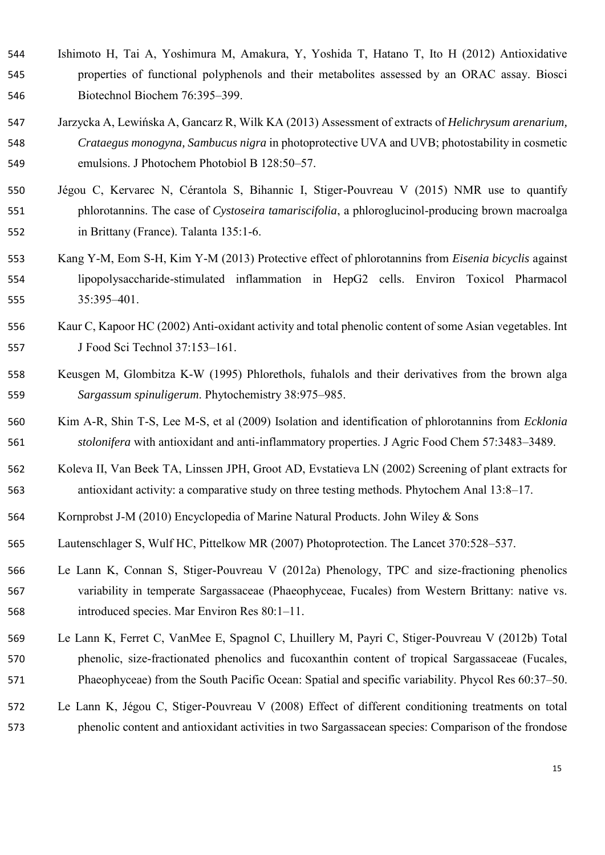- Ishimoto H, Tai A, Yoshimura M, Amakura, Y, Yoshida T, Hatano T, Ito H (2012) Antioxidative properties of functional polyphenols and their metabolites assessed by an ORAC assay. Biosci Biotechnol Biochem 76:395–399.
- Jarzycka A, Lewińska A, Gancarz R, Wilk KA (2013) Assessment of extracts of *Helichrysum arenarium, Crataegus monogyna, Sambucus nigra* in photoprotective UVA and UVB; photostability in cosmetic emulsions. J Photochem Photobiol B 128:50–57.
- Jégou C, Kervarec N, Cérantola S, Bihannic I, Stiger-Pouvreau V (2015) NMR use to quantify phlorotannins. The case of *Cystoseira tamariscifolia*, a phloroglucinol-producing brown macroalga in Brittany (France). Talanta 135:1-6.
- Kang Y-M, Eom S-H, Kim Y-M (2013) Protective effect of phlorotannins from *Eisenia bicyclis* against lipopolysaccharide-stimulated inflammation in HepG2 cells. Environ Toxicol Pharmacol 35:395–401.
- Kaur C, Kapoor HC (2002) Anti-oxidant activity and total phenolic content of some Asian vegetables. Int J Food Sci Technol 37:153–161.
- Keusgen M, Glombitza K-W (1995) Phlorethols, fuhalols and their derivatives from the brown alga *Sargassum spinuligerum*. Phytochemistry 38:975–985.
- Kim A-R, Shin T-S, Lee M-S, et al (2009) Isolation and identification of phlorotannins from *Ecklonia stolonifera* with antioxidant and anti-inflammatory properties. J Agric Food Chem 57:3483–3489.
- Koleva II, Van Beek TA, Linssen JPH, Groot AD, Evstatieva LN (2002) Screening of plant extracts for antioxidant activity: a comparative study on three testing methods. Phytochem Anal 13:8–17.
- Kornprobst J-M (2010) Encyclopedia of Marine Natural Products. John Wiley & Sons
- Lautenschlager S, Wulf HC, Pittelkow MR (2007) Photoprotection. The Lancet 370:528–537.
- Le Lann K, Connan S, Stiger-Pouvreau V (2012a) Phenology, TPC and size-fractioning phenolics variability in temperate Sargassaceae (Phaeophyceae, Fucales) from Western Brittany: native vs. introduced species. Mar Environ Res 80:1–11.
- 569 Le Lann K, Ferret C, VanMee E, Spagnol C, Lhuillery M, Payri C, Stiger-Pouvreau V (2012b) Total phenolic, size-fractionated phenolics and fucoxanthin content of tropical Sargassaceae (Fucales, Phaeophyceae) from the South Pacific Ocean: Spatial and specific variability. Phycol Res 60:37–50.
- Le Lann K, Jégou C, Stiger-Pouvreau V (2008) Effect of different conditioning treatments on total phenolic content and antioxidant activities in two Sargassacean species: Comparison of the frondose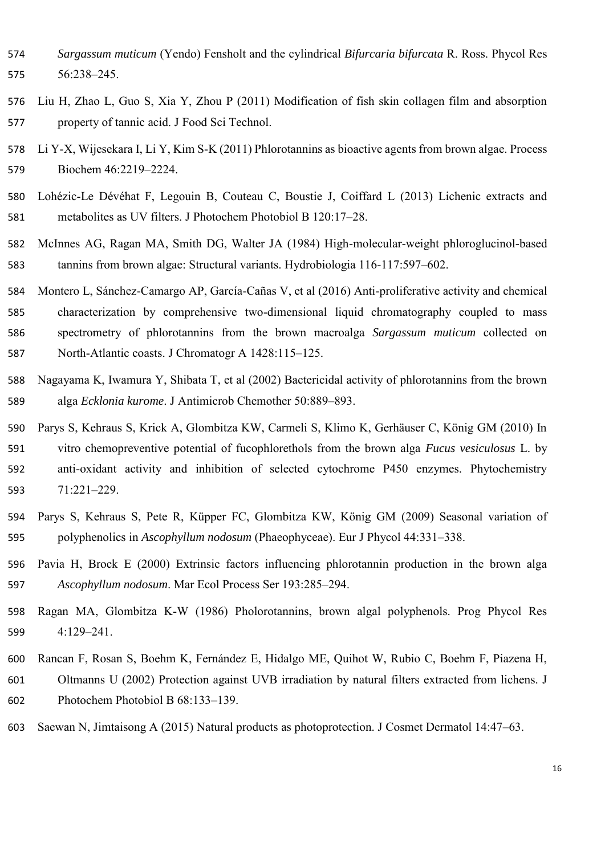- *Sargassum muticum* (Yendo) Fensholt and the cylindrical *Bifurcaria bifurcata* R. Ross. Phycol Res 56:238–245.
- Liu H, Zhao L, Guo S, Xia Y, Zhou P (2011) Modification of fish skin collagen film and absorption property of tannic acid. J Food Sci Technol.
- Li Y-X, Wijesekara I, Li Y, Kim S-K (2011) Phlorotannins as bioactive agents from brown algae. Process Biochem 46:2219–2224.
- Lohézic-Le Dévéhat F, Legouin B, Couteau C, Boustie J, Coiffard L (2013) Lichenic extracts and metabolites as UV filters. J Photochem Photobiol B 120:17–28.
- McInnes AG, Ragan MA, Smith DG, Walter JA (1984) High-molecular-weight phloroglucinol-based tannins from brown algae: Structural variants. Hydrobiologia 116-117:597–602.
- Montero L, Sánchez-Camargo AP, García-Cañas V, et al (2016) Anti-proliferative activity and chemical characterization by comprehensive two-dimensional liquid chromatography coupled to mass spectrometry of phlorotannins from the brown macroalga *Sargassum muticum* collected on North-Atlantic coasts. J Chromatogr A 1428:115–125.
- Nagayama K, Iwamura Y, Shibata T, et al (2002) Bactericidal activity of phlorotannins from the brown alga *Ecklonia kurome*. J Antimicrob Chemother 50:889–893.
- Parys S, Kehraus S, Krick A, Glombitza KW, Carmeli S, Klimo K, Gerhäuser C, König GM (2010) In vitro chemopreventive potential of fucophlorethols from the brown alga *Fucus vesiculosus* L. by anti-oxidant activity and inhibition of selected cytochrome P450 enzymes. Phytochemistry 71:221–229.
- Parys S, Kehraus S, Pete R, Küpper FC, Glombitza KW, König GM (2009) Seasonal variation of polyphenolics in *Ascophyllum nodosum* (Phaeophyceae). Eur J Phycol 44:331–338.
- Pavia H, Brock E (2000) Extrinsic factors influencing phlorotannin production in the brown alga *Ascophyllum nodosum*. Mar Ecol Process Ser 193:285–294.
- Ragan MA, Glombitza K-W (1986) Pholorotannins, brown algal polyphenols. Prog Phycol Res 4:129–241.
- Rancan F, Rosan S, Boehm K, Fernández E, Hidalgo ME, Quihot W, Rubio C, Boehm F, Piazena H,
- Oltmanns U (2002) Protection against UVB irradiation by natural filters extracted from lichens. J
- Photochem Photobiol B 68:133–139.
- Saewan N, Jimtaisong A (2015) Natural products as photoprotection. J Cosmet Dermatol 14:47–63.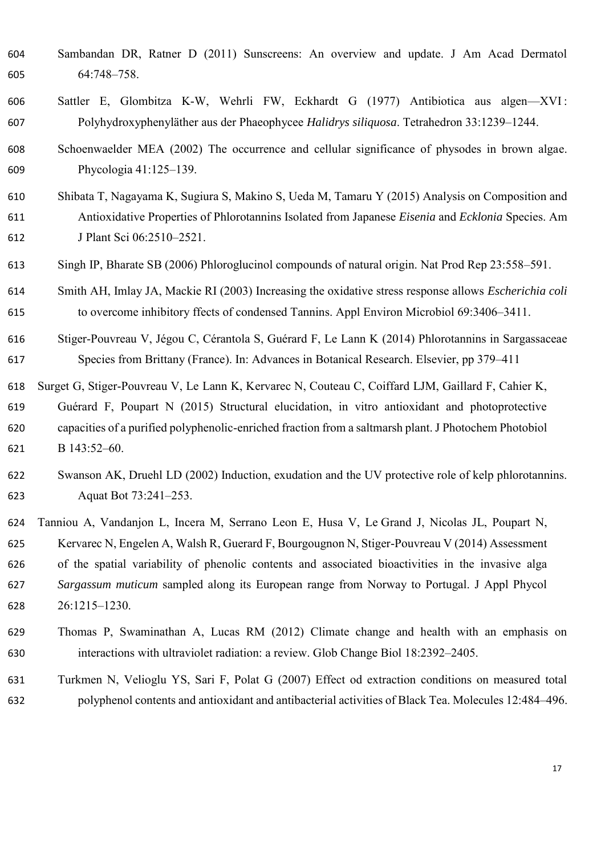- Sambandan DR, Ratner D (2011) Sunscreens: An overview and update. J Am Acad Dermatol 64:748–758.
- Sattler E, Glombitza K-W, Wehrli FW, Eckhardt G (1977) Antibiotica aus algen—XVI : Polyhydroxyphenyläther aus der Phaeophycee *Halidrys siliquosa*. Tetrahedron 33:1239–1244.
- Schoenwaelder MEA (2002) The occurrence and cellular significance of physodes in brown algae. Phycologia 41:125–139.
- Shibata T, Nagayama K, Sugiura S, Makino S, Ueda M, Tamaru Y (2015) Analysis on Composition and Antioxidative Properties of Phlorotannins Isolated from Japanese *Eisenia* and *Ecklonia* Species. Am J Plant Sci 06:2510–2521.
- Singh IP, Bharate SB (2006) Phloroglucinol compounds of natural origin. Nat Prod Rep 23:558–591.
- Smith AH, Imlay JA, Mackie RI (2003) Increasing the oxidative stress response allows *Escherichia coli* to overcome inhibitory ffects of condensed Tannins. Appl Environ Microbiol 69:3406–3411.
- Stiger-Pouvreau V, Jégou C, Cérantola S, Guérard F, Le Lann K (2014) Phlorotannins in Sargassaceae Species from Brittany (France). In: Advances in Botanical Research. Elsevier, pp 379–411
- Surget G, Stiger-Pouvreau V, Le Lann K, Kervarec N, Couteau C, Coiffard LJM, Gaillard F, Cahier K, Guérard F, Poupart N (2015) Structural elucidation, in vitro antioxidant and photoprotective capacities of a purified polyphenolic-enriched fraction from a saltmarsh plant. J Photochem Photobiol B 143:52–60.
- Swanson AK, Druehl LD (2002) Induction, exudation and the UV protective role of kelp phlorotannins. Aquat Bot 73:241–253.
- Tanniou A, Vandanjon L, Incera M, Serrano Leon E, Husa V, Le Grand J, Nicolas JL, Poupart N, Kervarec N, Engelen A, Walsh R, Guerard F, Bourgougnon N, Stiger-Pouvreau V (2014) Assessment of the spatial variability of phenolic contents and associated bioactivities in the invasive alga *Sargassum muticum* sampled along its European range from Norway to Portugal. J Appl Phycol 26:1215–1230.
- Thomas P, Swaminathan A, Lucas RM (2012) Climate change and health with an emphasis on interactions with ultraviolet radiation: a review. Glob Change Biol 18:2392–2405.
- Turkmen N, Velioglu YS, Sari F, Polat G (2007) Effect od extraction conditions on measured total polyphenol contents and antioxidant and antibacterial activities of Black Tea. Molecules 12:484–496.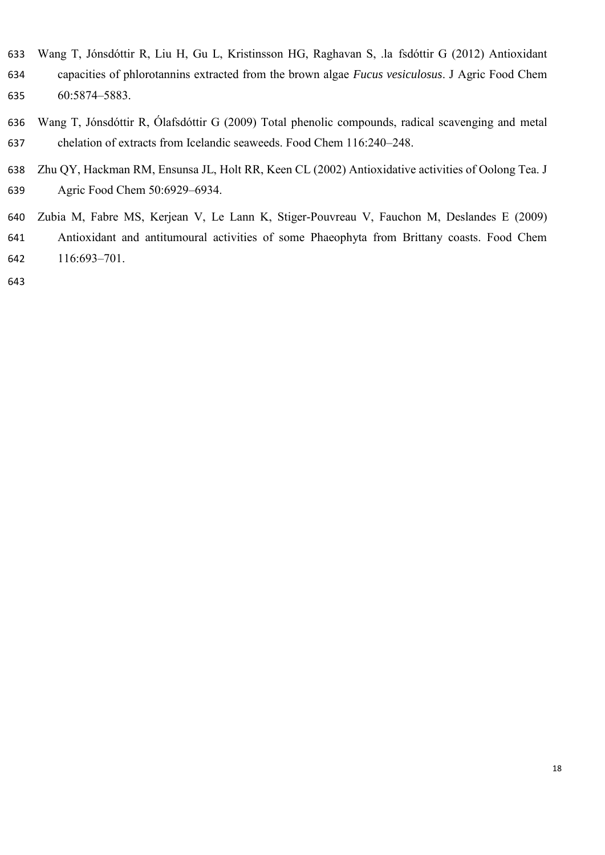- Wang T, Jónsdóttir R, Liu H, Gu L, Kristinsson HG, Raghavan S, .la fsdóttir G (2012) Antioxidant capacities of phlorotannins extracted from the brown algae *Fucus vesiculosus*. J Agric Food Chem 60:5874–5883.
- Wang T, Jónsdóttir R, Ólafsdóttir G (2009) Total phenolic compounds, radical scavenging and metal chelation of extracts from Icelandic seaweeds. Food Chem 116:240–248.
- Zhu QY, Hackman RM, Ensunsa JL, Holt RR, Keen CL (2002) Antioxidative activities of Oolong Tea. J Agric Food Chem 50:6929–6934.
- Zubia M, Fabre MS, Kerjean V, Le Lann K, Stiger-Pouvreau V, Fauchon M, Deslandes E (2009) Antioxidant and antitumoural activities of some Phaeophyta from Brittany coasts. Food Chem 116:693–701.
-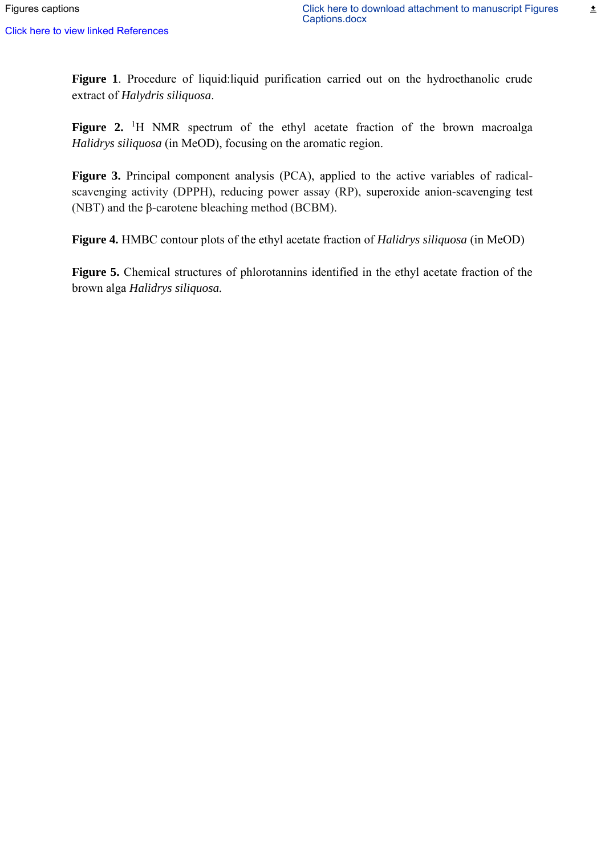$\overline{\mathbf{r}}$ 

**Figure 1**. Procedure of liquid:liquid purification carried out on the hydroethanolic crude extract of *Halydris siliquosa*.

**Figure 2.** <sup>1</sup>H NMR spectrum of the ethyl acetate fraction of the brown macroalga *Halidrys siliquosa* (in MeOD), focusing on the aromatic region.

Figure 3. Principal component analysis (PCA), applied to the active variables of radicalscavenging activity (DPPH), reducing power assay (RP), superoxide anion-scavenging test (NBT) and the β-carotene bleaching method (BCBM).

**Figure 4.** HMBC contour plots of the ethyl acetate fraction of *Halidrys siliquosa* (in MeOD)

**Figure 5.** Chemical structures of phlorotannins identified in the ethyl acetate fraction of the brown alga *Halidrys siliquosa.*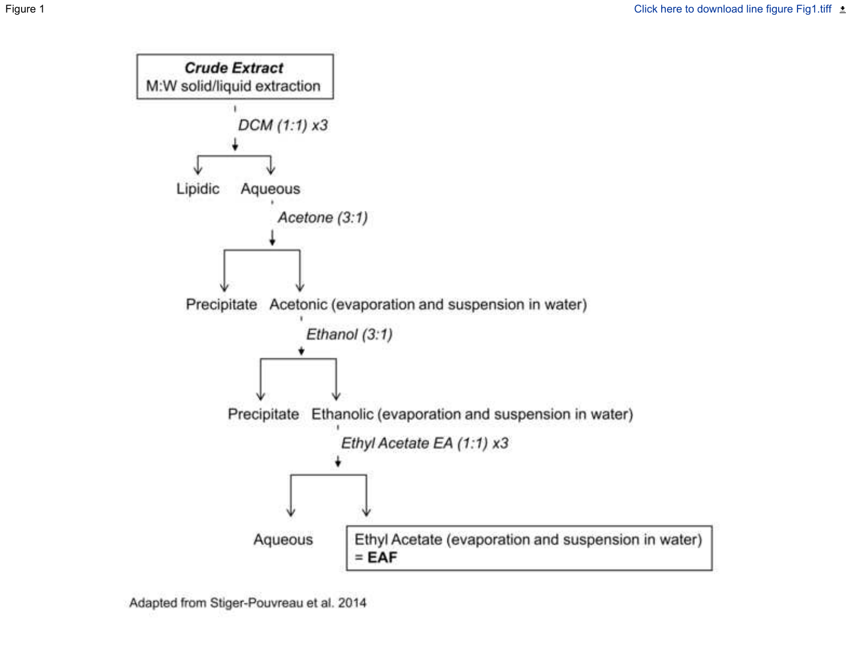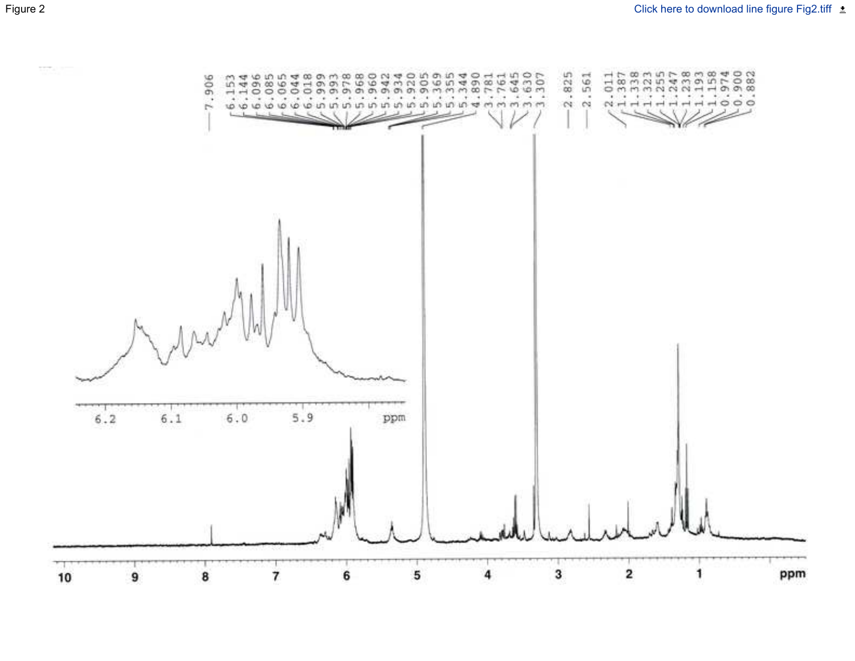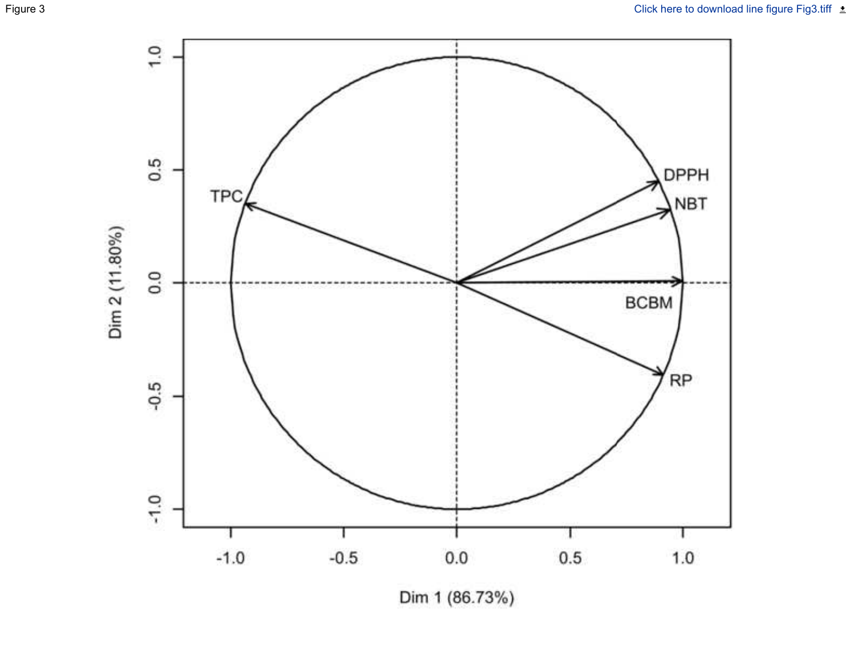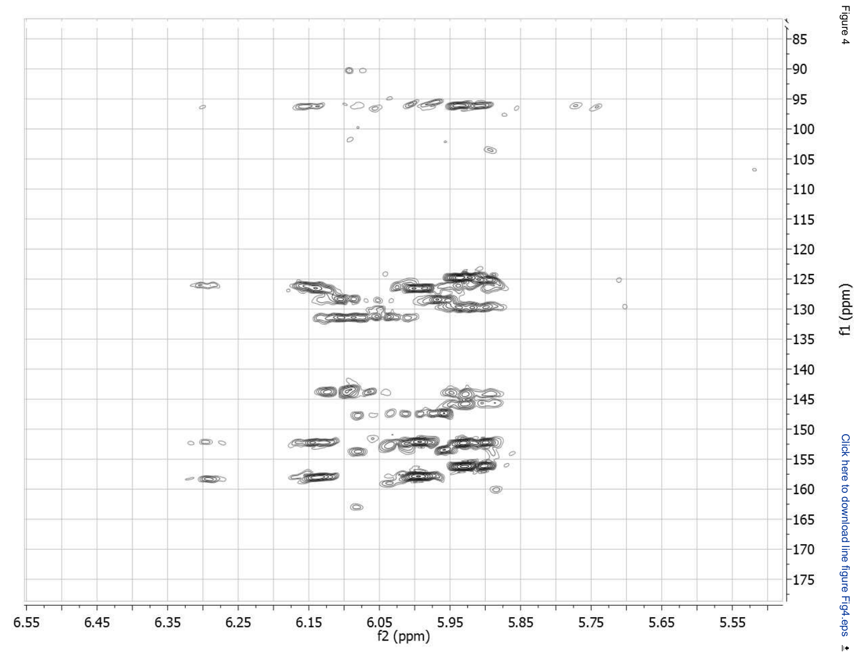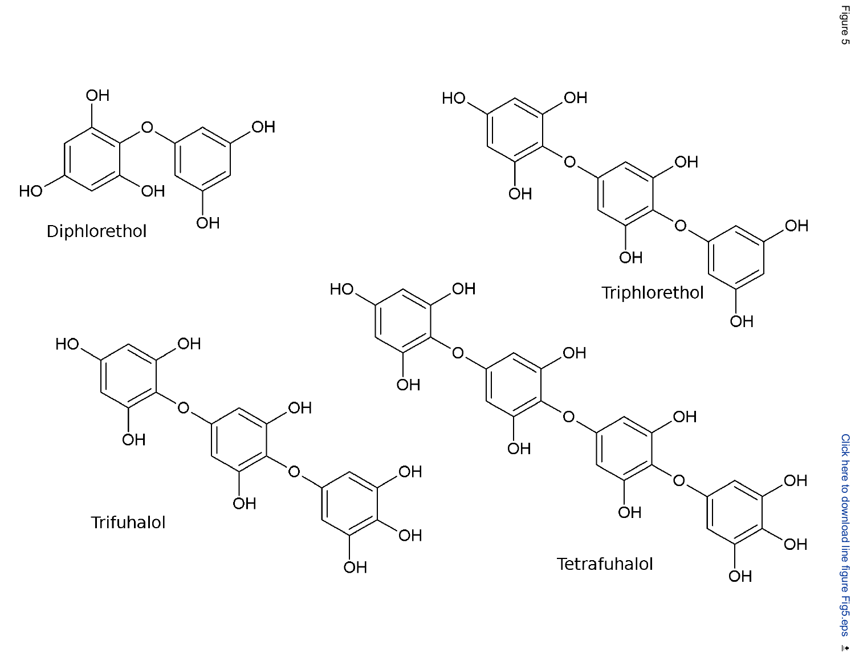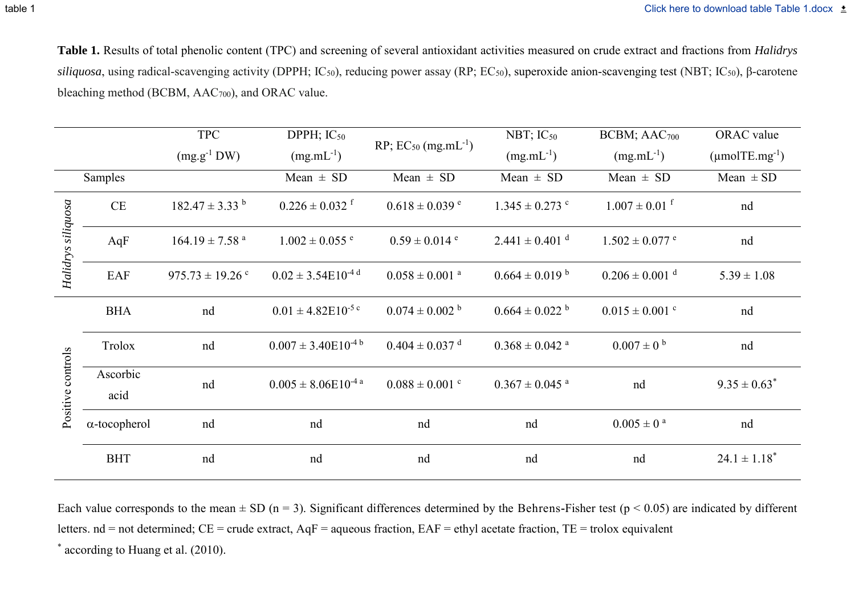**Table 1.** Results of total phenolic content (TPC) and screening of several antioxidant activities measured on crude extract and fractions from *Halidrys siliquosa*, using radical-scavenging activity (DPPH; IC<sub>50</sub>), reducing power assay (RP; EC<sub>50</sub>), superoxide anion-scavenging test (NBT; IC<sub>50</sub>), β-carotene bleaching method (BCBM, AAC<sub>700</sub>), and ORAC value.

|                    |                      | <b>TPC</b><br>$(mg.g^{-1}DW)$  | DPPH; $IC_{50}$                             | $RP$ ; EC <sub>50</sub> (mg.mL <sup>-1</sup> ) | NBT; $IC_{50}$                 | BCBM; AAC <sub>700</sub>       | ORAC value                          |
|--------------------|----------------------|--------------------------------|---------------------------------------------|------------------------------------------------|--------------------------------|--------------------------------|-------------------------------------|
|                    |                      |                                | $(mg.mL^{-1})$                              |                                                | $(mg.mL^{-1})$                 | $(mg.mL^{-1})$                 | $(\mu \text{molTE}.\text{mg}^{-1})$ |
| Samples            |                      |                                | Mean $\pm$ SD                               | Mean $\pm$ SD                                  | Mean $\pm$ SD                  | Mean $\pm$ SD                  | Mean $\pm$ SD                       |
| Halidrys siliquosa | CE                   | $182.47 \pm 3.33$ <sup>b</sup> | $0.226 \pm 0.032$ <sup>f</sup>              | $0.618 \pm 0.039$ <sup>e</sup>                 | $1.345 \pm 0.273$ °            | $1.007 \pm 0.01$ f             | nd                                  |
|                    | AqF                  | $164.19 \pm 7.58$ <sup>a</sup> | $1.002 \pm 0.055$ <sup>e</sup>              | $0.59 \pm 0.014$ <sup>e</sup>                  | $2.441 \pm 0.401$ <sup>d</sup> | $1.502 \pm 0.077$ °            | nd                                  |
|                    | EAF                  | $975.73 \pm 19.26$ c           | $0.02 \pm 3.54E10^{-4}$ d                   | $0.058 \pm 0.001$ <sup>a</sup>                 | $0.664 \pm 0.019^{b}$          | $0.206 \pm 0.001$ <sup>d</sup> | $5.39 \pm 1.08$                     |
| Positive controls  | <b>BHA</b>           | nd                             | $0.01 \pm 4.82E10^{-5}$                     | $0.074 \pm 0.002$ <sup>b</sup>                 | $0.664 \pm 0.022$ <sup>b</sup> | $0.015 \pm 0.001$ c            | nd                                  |
|                    | Trolox               | nd                             | $0.007 \pm 3.40E10^{-4 b}$                  | $0.404 \pm 0.037$ <sup>d</sup>                 | $0.368 \pm 0.042$ <sup>a</sup> | $0.007 \pm 0^{b}$              | nd                                  |
|                    | Ascorbic             |                                | nd<br>$0.005 \pm 8.06E10^{-4}$ <sup>a</sup> | $0.088 \pm 0.001$ <sup>c</sup>                 | $0.367 \pm 0.045$ <sup>a</sup> | nd                             | $9.35 \pm 0.63^*$                   |
|                    | acid                 |                                |                                             |                                                |                                |                                |                                     |
|                    | $\alpha$ -tocopherol | nd                             | nd                                          | nd                                             | nd                             | $0.005 \pm 0^{\text{ a}}$      | nd                                  |
|                    | <b>BHT</b>           | nd                             | nd                                          | nd                                             | nd                             | nd                             | $24.1 \pm 1.18^*$                   |

Each value corresponds to the mean  $\pm$  SD (n = 3). Significant differences determined by the Behrens-Fisher test (p < 0.05) are indicated by different letters. nd = not determined;  $CE$  = crude extract,  $AqF = aqueous fraction$ ,  $EAF = ethyl$  acetate fraction,  $TE = trolox$  equivalent

\* according to Huang et al. (2010).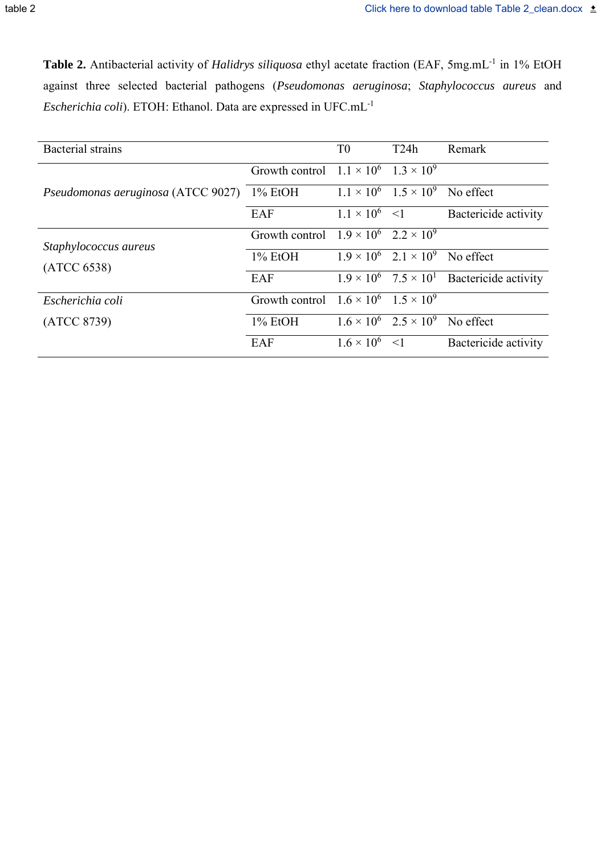**Table 2.** Antibacterial activity of *Halidrys siliquosa* ethyl acetate fraction (EAF, 5mg.mL-1 in 1% EtOH against three selected bacterial pathogens (*Pseudomonas aeruginosa*; *Staphylococcus aureus* and *Escherichia coli*). ETOH: Ethanol. Data are expressed in UFC.mL-1

| Bacterial strains                         |                                                    | T <sub>0</sub>       | T24h                                | Remark               |
|-------------------------------------------|----------------------------------------------------|----------------------|-------------------------------------|----------------------|
|                                           | Growth control $1.1 \times 10^6$ $1.3 \times 10^9$ |                      |                                     |                      |
| <i>Pseudomonas aeruginosa</i> (ATCC 9027) | 1% EtOH                                            |                      | $1.1 \times 10^6$ $1.5 \times 10^9$ | No effect            |
|                                           | EAF                                                | $1.1 \times 10^6$ <1 |                                     | Bactericide activity |
| Staphylococcus aureus                     | Growth control $1.9 \times 10^6$ $2.2 \times 10^9$ |                      |                                     |                      |
| (ATCC 6538)                               | 1% EtOH                                            |                      | $1.9 \times 10^6$ $2.1 \times 10^9$ | No effect            |
|                                           | EAF                                                |                      | $1.9 \times 10^6$ 7.5 $\times 10^1$ | Bactericide activity |
| Escherichia coli                          | Growth control $1.6 \times 10^6$ $1.5 \times 10^9$ |                      |                                     |                      |
| (ATCC 8739)                               | 1% EtOH                                            |                      | $1.6 \times 10^6$ $2.5 \times 10^9$ | No effect            |
|                                           | EAF                                                | $1.6 \times 10^{6}$  | $\leq$ 1                            | Bactericide activity |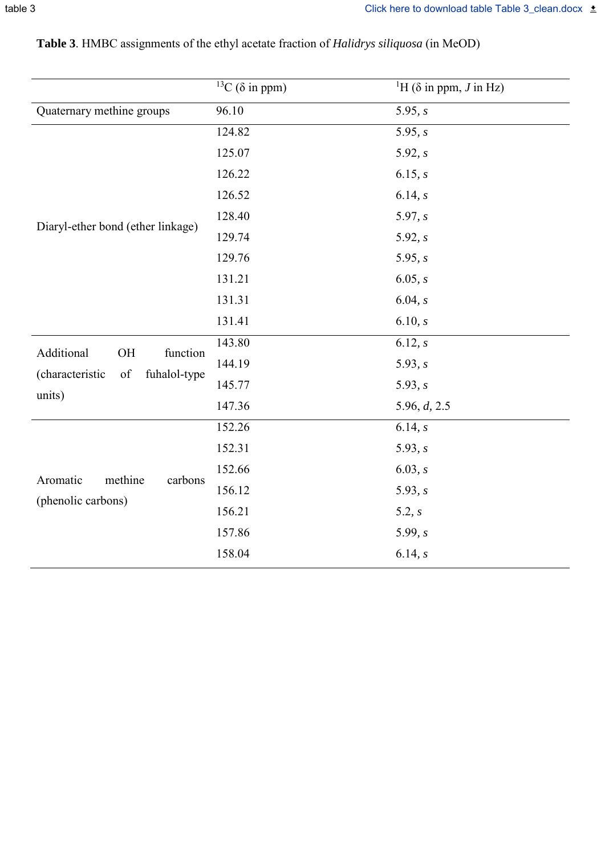|                                       | ${}^{13}C$ ( $\delta$ in ppm) | <sup>1</sup> H ( $\delta$ in ppm, <i>J</i> in Hz) |  |
|---------------------------------------|-------------------------------|---------------------------------------------------|--|
| Quaternary methine groups             | 96.10                         | 5.95, $s$                                         |  |
|                                       | 124.82                        | 5.95, $s$                                         |  |
|                                       | 125.07                        | 5.92, s                                           |  |
|                                       | 126.22                        | 6.15, s                                           |  |
|                                       | 126.52                        | 6.14, s                                           |  |
| Diaryl-ether bond (ether linkage)     | 128.40                        | 5.97, s                                           |  |
|                                       | 129.74                        | 5.92, $s$                                         |  |
|                                       | 129.76                        | 5.95, $s$                                         |  |
|                                       | 131.21                        | 6.05, s                                           |  |
|                                       | 131.31                        | 6.04, s                                           |  |
|                                       | 131.41                        | 6.10, s                                           |  |
| Additional<br><b>OH</b><br>function   | 143.80                        | 6.12, s                                           |  |
| (characteristic<br>fuhalol-type<br>of | 144.19                        | 5.93, $s$                                         |  |
| units)                                | 145.77                        | 5.93, $s$                                         |  |
|                                       | 147.36                        | 5.96, d, 2.5                                      |  |
|                                       | 152.26                        | 6.14, s                                           |  |
|                                       | 152.31                        | 5.93, $s$                                         |  |
| Aromatic<br>methine<br>carbons        | 152.66                        | 6.03, s                                           |  |
| (phenolic carbons)                    | 156.12                        | 5.93, $s$                                         |  |
|                                       | 156.21                        | 5.2, s                                            |  |
|                                       | 157.86                        | 5.99, $s$                                         |  |
|                                       | 158.04                        | 6.14, s                                           |  |

**Table 3**. HMBC assignments of the ethyl acetate fraction of *Halidrys siliquosa* (in MeOD)